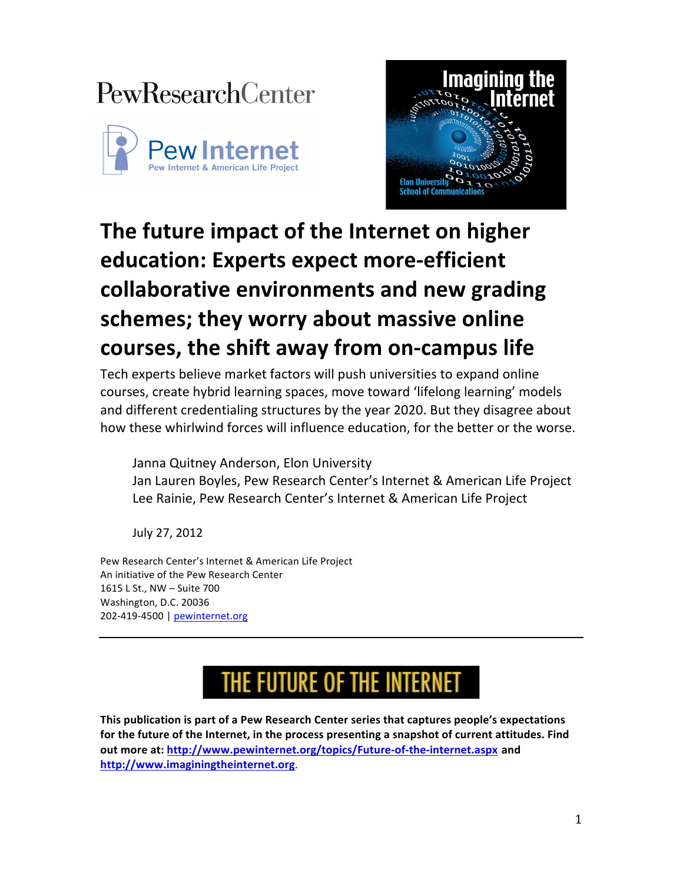## **PewResearchCenter**





## **The future impact of the Internet on higher education: Experts expect more-efficient collaborative environments and new grading** schemes; they worry about massive online **courses,\$the\$shift\$away\$from\$on7campus life**

Tech experts believe market factors will push universities to expand online courses, create hybrid learning spaces, move toward 'lifelong learning' models and different credentialing structures by the year 2020. But they disagree about how these whirlwind forces will influence education, for the better or the worse.

Janna Quitney Anderson, Elon University Jan Lauren Boyles, Pew Research Center's Internet & American Life Project Lee Rainie, Pew Research Center's Internet & American Life Project

July 27, 2012

Pew Research Center's Internet & American Life Project An initiative of the Pew Research Center 1615 L St., NW - Suite 700 Washington, D.C. 20036 202-419-4500 | pewinternet.org

# THE FUTURE OF THE INTERNET

This publication is part of a Pew Research Center series that captures people's expectations for the future of the Internet, in the process presenting a snapshot of current attitudes. Find **out more at: http://www.pewinternet.org/topics/Future-of-the-internet.aspx and http://www.imaginingtheinternet.org**.%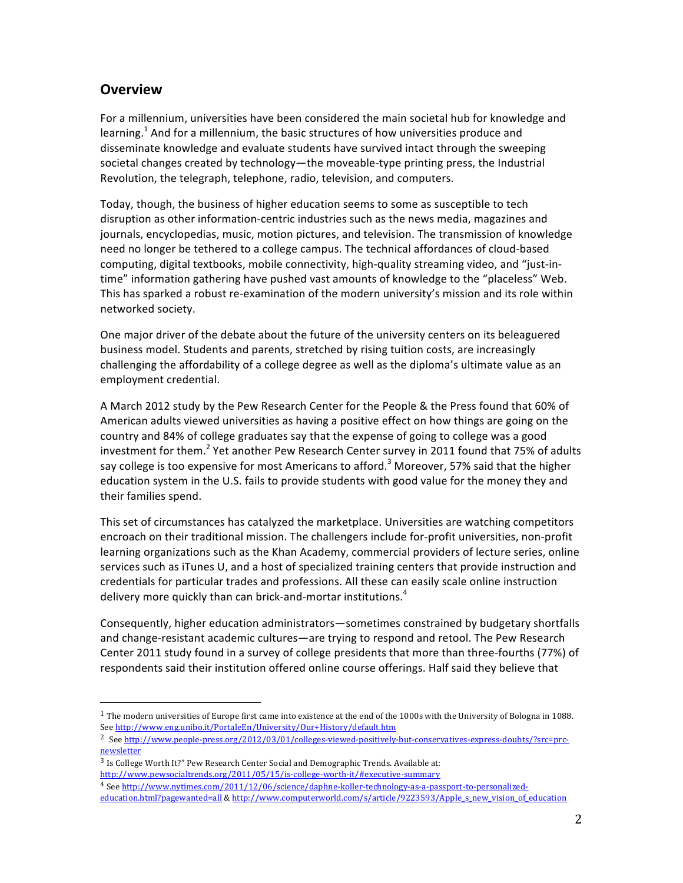## **Overview**

For a millennium, universities have been considered the main societal hub for knowledge and learning.<sup>1</sup> And for a millennium, the basic structures of how universities produce and disseminate knowledge and evaluate students have survived intact through the sweeping societal changes created by technology—the moveable-type printing press, the Industrial Revolution, the telegraph, telephone, radio, television, and computers.

Today, though, the business of higher education seems to some as susceptible to tech disruption as other information-centric industries such as the news media, magazines and journals, encyclopedias, music, motion pictures, and television. The transmission of knowledge need no longer be tethered to a college campus. The technical affordances of cloud-based computing, digital textbooks, mobile connectivity, high-quality streaming video, and "just-intime" information gathering have pushed vast amounts of knowledge to the "placeless" Web. This has sparked a robust re-examination of the modern university's mission and its role within networked society.

One major driver of the debate about the future of the university centers on its beleaguered business model. Students and parents, stretched by rising tuition costs, are increasingly challenging the affordability of a college degree as well as the diploma's ultimate value as an employment credential.

A March 2012 study by the Pew Research Center for the People & the Press found that 60% of American adults viewed universities as having a positive effect on how things are going on the country and 84% of college graduates say that the expense of going to college was a good investment for them.<sup>2</sup> Yet another Pew Research Center survey in 2011 found that 75% of adults say college is too expensive for most Americans to afford.<sup>3</sup> Moreover, 57% said that the higher education system in the U.S. fails to provide students with good value for the money they and their families spend.

This set of circumstances has catalyzed the marketplace. Universities are watching competitors encroach on their traditional mission. The challengers include for-profit universities, non-profit learning organizations such as the Khan Academy, commercial providers of lecture series, online services such as iTunes U, and a host of specialized training centers that provide instruction and credentials for particular trades and professions. All these can easily scale online instruction delivery more quickly than can brick-and-mortar institutions.<sup>4</sup>

Consequently, higher education administrators—sometimes constrained by budgetary shortfalls and change-resistant academic cultures—are trying to respond and retool. The Pew Research Center 2011 study found in a survey of college presidents that more than three-fourths (77%) of respondents said their institution offered online course offerings. Half said they believe that

"""""""""""""""""""""""""""""""""""""""""""""""""""""""

 $1$  The modern universities of Europe first came into existence at the end of the 1000s with the University of Bologna in 1088. See http://www.eng.unibo.it/PortaleEn/University/Our+History/default.htm

<sup>&</sup>lt;sup>2</sup> See http://www.people-press.org/2012/03/01/colleges-viewed-positively-but-conservatives-express-doubts/?src=prcnewsletter

 $3$  Is College Worth It?" Pew Research Center Social and Demographic Trends. Available at: http://www.pewsocialtrends.org/2011/05/15/is-college-worth-it/#executive-summary

<sup>4</sup> See http://www.nytimes.com/2011/12/06/science/daphne-koller-technology-as-a-passport-to-personalized-

education.html?pagewanted=all & http://www.computerworld.com/s/article/9223593/Apple\_s\_new\_vision\_of\_education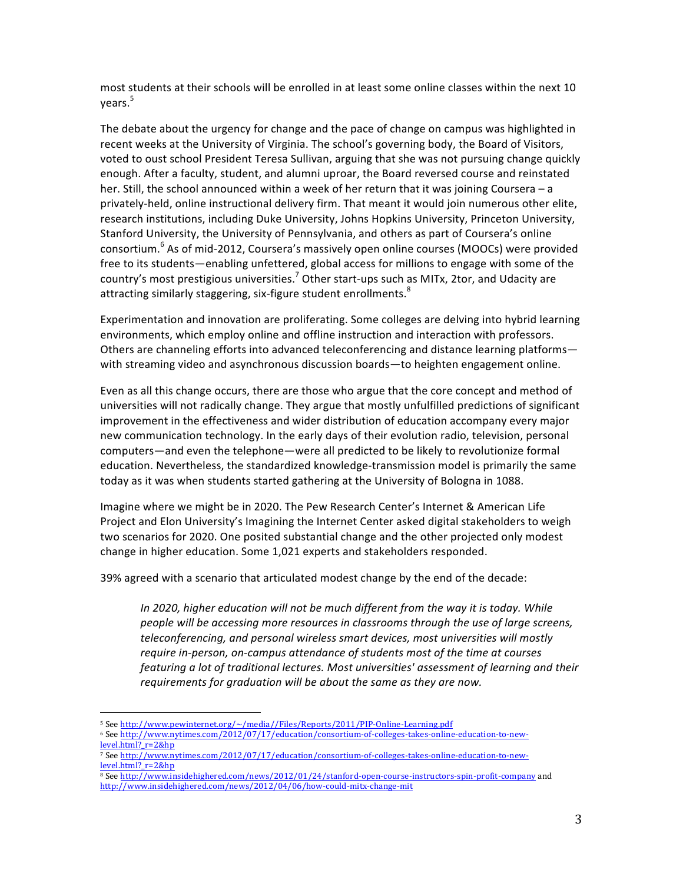most students at their schools will be enrolled in at least some online classes within the next 10 years.<sup>5</sup>

The debate about the urgency for change and the pace of change on campus was highlighted in recent weeks at the University of Virginia. The school's governing body, the Board of Visitors, voted to oust school President Teresa Sullivan, arguing that she was not pursuing change quickly enough. After a faculty, student, and alumni uproar, the Board reversed course and reinstated her. Still, the school announced within a week of her return that it was joining Coursera – a privately-held, online instructional delivery firm. That meant it would join numerous other elite, research institutions, including Duke University, Johns Hopkins University, Princeton University, Stanford University, the University of Pennsylvania, and others as part of Coursera's online consortium.<sup>6</sup> As of mid-2012, Coursera's massively open online courses (MOOCs) were provided free to its students—enabling unfettered, global access for millions to engage with some of the country's most prestigious universities.<sup>7</sup> Other start-ups such as MITx, 2tor, and Udacity are attracting similarly staggering, six-figure student enrollments. $^8$ 

Experimentation and innovation are proliferating. Some colleges are delving into hybrid learning environments, which employ online and offline instruction and interaction with professors. Others are channeling efforts into advanced teleconferencing and distance learning platforms with streaming video and asynchronous discussion boards—to heighten engagement online.

Even as all this change occurs, there are those who argue that the core concept and method of universities will not radically change. They argue that mostly unfulfilled predictions of significant improvement in the effectiveness and wider distribution of education accompany every major new communication technology. In the early days of their evolution radio, television, personal computers—and even the telephone—were all predicted to be likely to revolutionize formal education. Nevertheless, the standardized knowledge-transmission model is primarily the same today as it was when students started gathering at the University of Bologna in 1088.

Imagine where we might be in 2020. The Pew Research Center's Internet & American Life Project and Elon University's Imagining the Internet Center asked digital stakeholders to weigh two scenarios for 2020. One posited substantial change and the other projected only modest change in higher education. Some 1,021 experts and stakeholders responded.

39% agreed with a scenario that articulated modest change by the end of the decade:

*In 2020, higher education will not be much different from the way it is today. While people will be accessing more resources in classrooms through the use of large screens,* teleconferencing, and personal wireless smart devices, most universities will mostly *require in-person, on-campus attendance of students most of the time at courses featuring a lot of traditional lectures. Most universities' assessment of learning and their requirements for graduation will be about the same as they are now.* 

"""""""""""""""""""""""""""""""""""""""""""""""""""""""

<sup>5</sup> See http://www.pewinternet.org/~/media//Files/Reports/2011/PIP-Online-Learning.pdf

<sup>6</sup> See http://www.nytimes.com/2012/07/17/education/consortium-of-colleges-takes-online-education-to-newlevel.html?\_r=2&hp

<sup>7</sup> See http://www.nytimes.com/2012/07/17/education/consortium-of-colleges-takes-online-education-to-newlevel.html? r=2&hp

<sup>8</sup> See http://www.insidehighered.com/news/2012/01/24/stanford-open-course-instructors-spin-profit-company and http://www.insidehighered.com/news/2012/04/06/how-could-mitx-change-mit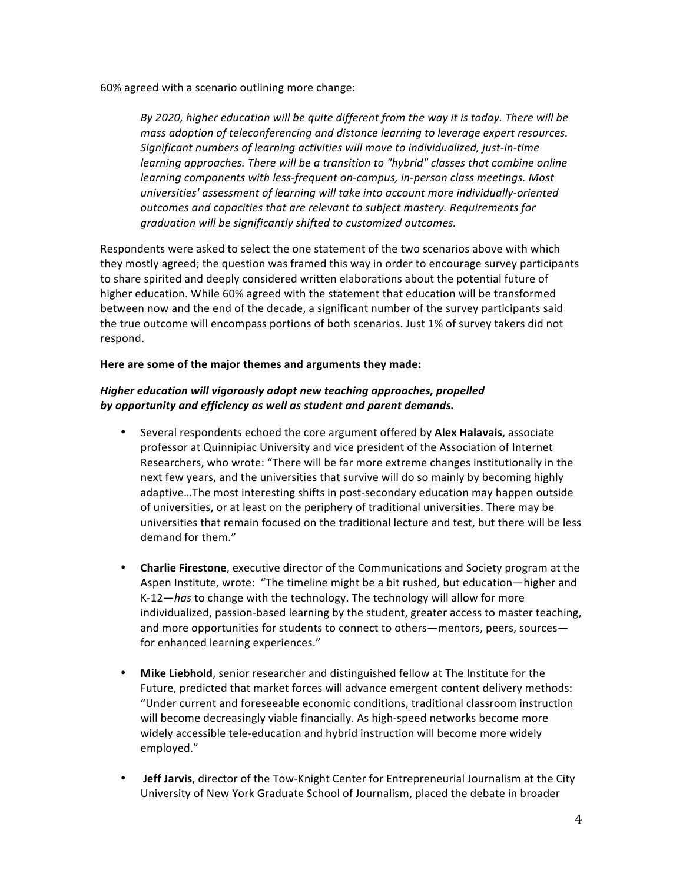$60\%$  agreed with a scenario outlining more change:

By 2020, higher education will be quite different from the way it is today. There will be mass adoption of teleconferencing and distance learning to leverage expert resources. *Significant numbers of learning activities will move to individualized, just-in-time learning approaches. There will be a transition to "hybrid" classes that combine online learning components with less-frequent on-campus, in-person class meetings. Most universities' assessment of learning will take into account more individually-oriented* outcomes and capacities that are relevant to subject mastery. Requirements for  $q$ raduation will be significantly shifted to customized outcomes.

Respondents were asked to select the one statement of the two scenarios above with which they mostly agreed; the question was framed this way in order to encourage survey participants to share spirited and deeply considered written elaborations about the potential future of higher education. While 60% agreed with the statement that education will be transformed between now and the end of the decade, a significant number of the survey participants said the true outcome will encompass portions of both scenarios. Just 1% of survey takers did not respond.

Here are some of the major themes and arguments they made:

### *Higher'education'will'vigorously'adopt new teaching'approaches, propelled' by'opportunity'and'efficiency as'well'as'student'and'parent'demands.'*

- Several respondents echoed the core argument offered by **Alex Halavais**, associate professor at Quinnipiac University and vice president of the Association of Internet Researchers, who wrote: "There will be far more extreme changes institutionally in the next few years, and the universities that survive will do so mainly by becoming highly adaptive...The most interesting shifts in post-secondary education may happen outside of universities, or at least on the periphery of traditional universities. There may be universities that remain focused on the traditional lecture and test, but there will be less demand for them."
- **Charlie Firestone**, executive director of the Communications and Society program at the Aspen Institute, wrote: "The timeline might be a bit rushed, but education—higher and K-12—*has* to change with the technology. The technology will allow for more individualized, passion-based learning by the student, greater access to master teaching, and more opportunities for students to connect to others—mentors, peers, sources for enhanced learning experiences."
- Mike Liebhold, senior researcher and distinguished fellow at The Institute for the Future, predicted that market forces will advance emergent content delivery methods: "Under current and foreseeable economic conditions, traditional classroom instruction will become decreasingly viable financially. As high-speed networks become more widely accessible tele-education and hybrid instruction will become more widely employed."
- **Jeff Jarvis**, director of the Tow-Knight Center for Entrepreneurial Journalism at the City University of New York Graduate School of Journalism, placed the debate in broader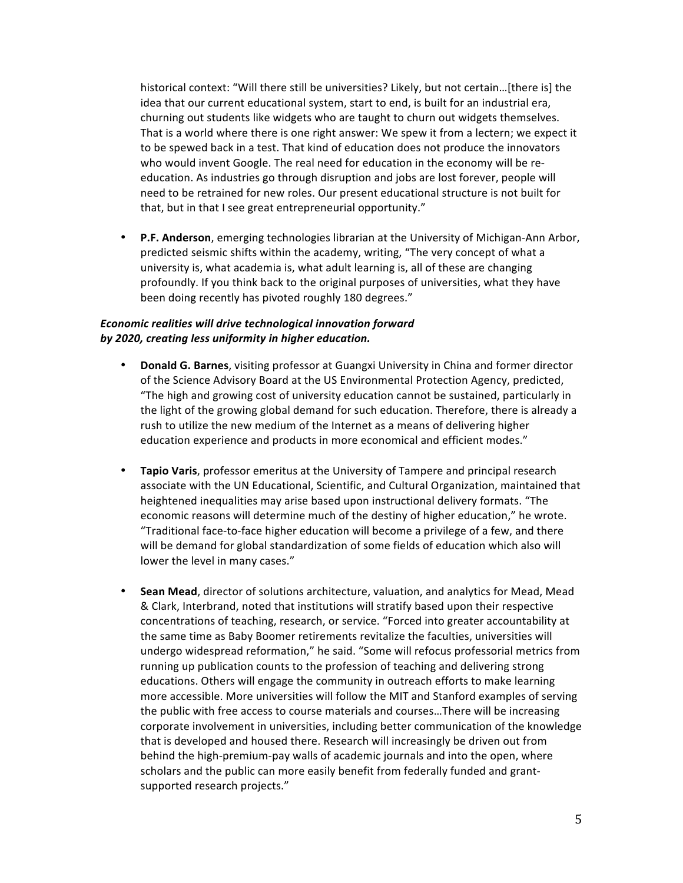historical context: "Will there still be universities? Likely, but not certain...[there is] the idea that our current educational system, start to end, is built for an industrial era, churning out students like widgets who are taught to churn out widgets themselves. That is a world where there is one right answer: We spew it from a lectern; we expect it to be spewed back in a test. That kind of education does not produce the innovators who would invent Google. The real need for education in the economy will be reeducation. As industries go through disruption and jobs are lost forever, people will need to be retrained for new roles. Our present educational structure is not built for that, but in that I see great entrepreneurial opportunity."

• **P.F. Anderson**, emerging technologies librarian at the University of Michigan-Ann Arbor, predicted seismic shifts within the academy, writing, "The very concept of what a university is, what academia is, what adult learning is, all of these are changing profoundly. If you think back to the original purposes of universities, what they have been doing recently has pivoted roughly 180 degrees."

#### *Economic'realities'will'drive'technological'innovation forward' by'2020,'creating'less'uniformity'in higher'education.*

- **Donald G. Barnes**, visiting professor at Guangxi University in China and former director of the Science Advisory Board at the US Environmental Protection Agency, predicted, "The high and growing cost of university education cannot be sustained, particularly in the light of the growing global demand for such education. Therefore, there is already a rush to utilize the new medium of the Internet as a means of delivering higher education experience and products in more economical and efficient modes."
- **Tapio Varis**, professor emeritus at the University of Tampere and principal research associate with the UN Educational, Scientific, and Cultural Organization, maintained that heightened inequalities may arise based upon instructional delivery formats. "The economic reasons will determine much of the destiny of higher education," he wrote. "Traditional face-to-face higher education will become a privilege of a few, and there will be demand for global standardization of some fields of education which also will lower the level in many cases."
- **Sean Mead**, director of solutions architecture, valuation, and analytics for Mead, Mead & Clark, Interbrand, noted that institutions will stratify based upon their respective concentrations of teaching, research, or service. "Forced into greater accountability at the same time as Baby Boomer retirements revitalize the faculties, universities will undergo widespread reformation," he said. "Some will refocus professorial metrics from running up publication counts to the profession of teaching and delivering strong educations. Others will engage the community in outreach efforts to make learning more accessible. More universities will follow the MIT and Stanford examples of serving the public with free access to course materials and courses...There will be increasing corporate involvement in universities, including better communication of the knowledge that is developed and housed there. Research will increasingly be driven out from behind the high-premium-pay walls of academic journals and into the open, where scholars and the public can more easily benefit from federally funded and grantsupported research projects."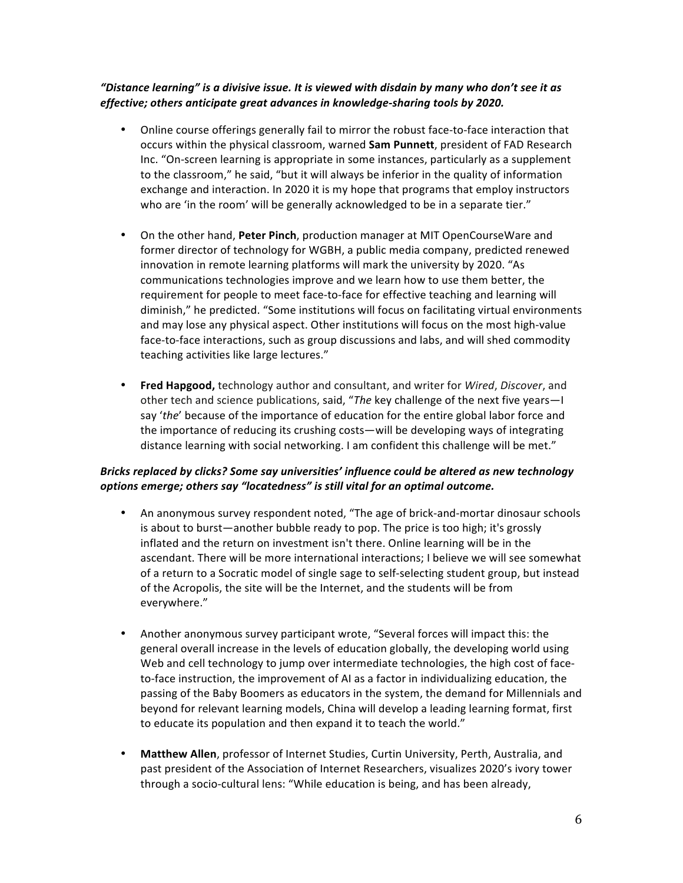## *"Distance'learning" is'a'divisive'issue.'It'is'viewed'with'disdain'by'many'who'don't'see'it'as' effective;* others anticipate great advances in knowledge-sharing tools by 2020.

- Online course offerings generally fail to mirror the robust face-to-face interaction that occurs within the physical classroom, warned **Sam Punnett**, president of FAD Research Inc. "On-screen learning is appropriate in some instances, particularly as a supplement to the classroom," he said, "but it will always be inferior in the quality of information exchange and interaction. In 2020 it is my hope that programs that employ instructors who are 'in the room' will be generally acknowledged to be in a separate tier."
- On the other hand, Peter Pinch, production manager at MIT OpenCourseWare and former director of technology for WGBH, a public media company, predicted renewed innovation in remote learning platforms will mark the university by 2020. "As communications technologies improve and we learn how to use them better, the requirement for people to meet face-to-face for effective teaching and learning will diminish," he predicted. "Some institutions will focus on facilitating virtual environments and may lose any physical aspect. Other institutions will focus on the most high-value face-to-face interactions, such as group discussions and labs, and will shed commodity teaching activities like large lectures."
- **Fred Hapgood,** technology author and consultant, and writer for Wired, Discover, and other tech and science publications, said, "The key challenge of the next five years-I say 'the' because of the importance of education for the entire global labor force and the importance of reducing its crushing costs—will be developing ways of integrating distance learning with social networking. I am confident this challenge will be met."

### *Bricks replaced'by'clicks?'Some'say'universities''influence'could'be'altered'as'new'technology' options'emerge;'others'say'"locatedness" is'still'vital'for'an'optimal'outcome.*

- An anonymous survey respondent noted, "The age of brick-and-mortar dinosaur schools is about to burst—another bubble ready to pop. The price is too high; it's grossly inflated and the return on investment isn't there. Online learning will be in the ascendant. There will be more international interactions; I believe we will see somewhat of a return to a Socratic model of single sage to self-selecting student group, but instead of the Acropolis, the site will be the Internet, and the students will be from everywhere."
- Another anonymous survey participant wrote, "Several forces will impact this: the general overall increase in the levels of education globally, the developing world using Web and cell technology to jump over intermediate technologies, the high cost of faceto-face instruction, the improvement of AI as a factor in individualizing education, the passing of the Baby Boomers as educators in the system, the demand for Millennials and beyond for relevant learning models, China will develop a leading learning format, first to educate its population and then expand it to teach the world."
- Matthew Allen, professor of Internet Studies, Curtin University, Perth, Australia, and past president of the Association of Internet Researchers, visualizes 2020's ivory tower through a socio-cultural lens: "While education is being, and has been already,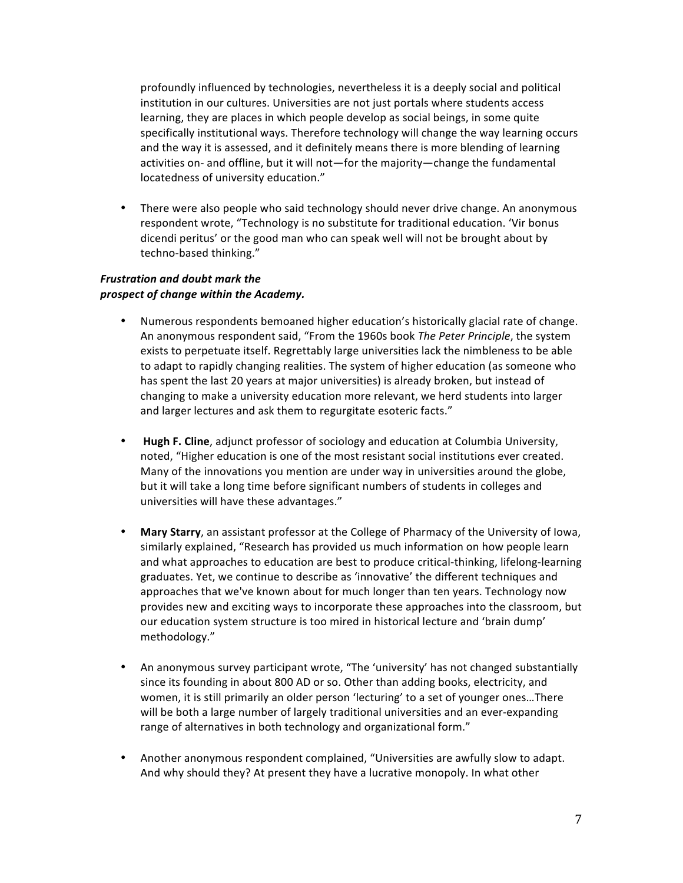profoundly influenced by technologies, nevertheless it is a deeply social and political institution in our cultures. Universities are not just portals where students access learning, they are places in which people develop as social beings, in some quite specifically institutional ways. Therefore technology will change the way learning occurs and the way it is assessed, and it definitely means there is more blending of learning activities on- and offline, but it will not—for the majority—change the fundamental locatedness of university education."

• There were also people who said technology should never drive change. An anonymous respondent wrote, "Technology is no substitute for traditional education. 'Vir bonus dicendi peritus' or the good man who can speak well will not be brought about by techno-based thinking."

#### *Frustration'and'doubt'mark'the' prospect'of'change'within'the'Academy.*

- Numerous respondents bemoaned higher education's historically glacial rate of change. An anonymous respondent said, "From the 1960s book The Peter Principle, the system exists to perpetuate itself. Regrettably large universities lack the nimbleness to be able to adapt to rapidly changing realities. The system of higher education (as someone who has spent the last 20 years at major universities) is already broken, but instead of changing to make a university education more relevant, we herd students into larger and larger lectures and ask them to regurgitate esoteric facts."
- **Hugh F. Cline**, adjunct professor of sociology and education at Columbia University, noted, "Higher education is one of the most resistant social institutions ever created. Many of the innovations you mention are under way in universities around the globe, but it will take a long time before significant numbers of students in colleges and universities will have these advantages."
- Mary Starry, an assistant professor at the College of Pharmacy of the University of Iowa, similarly explained, "Research has provided us much information on how people learn and what approaches to education are best to produce critical-thinking, lifelong-learning graduates. Yet, we continue to describe as 'innovative' the different techniques and approaches that we've known about for much longer than ten years. Technology now provides new and exciting ways to incorporate these approaches into the classroom, but our education system structure is too mired in historical lecture and 'brain dump' methodology."
- An anonymous survey participant wrote, "The 'university' has not changed substantially since its founding in about 800 AD or so. Other than adding books, electricity, and women, it is still primarily an older person 'lecturing' to a set of younger ones...There will be both a large number of largely traditional universities and an ever-expanding range of alternatives in both technology and organizational form."
- Another anonymous respondent complained, "Universities are awfully slow to adapt. And why should they? At present they have a lucrative monopoly. In what other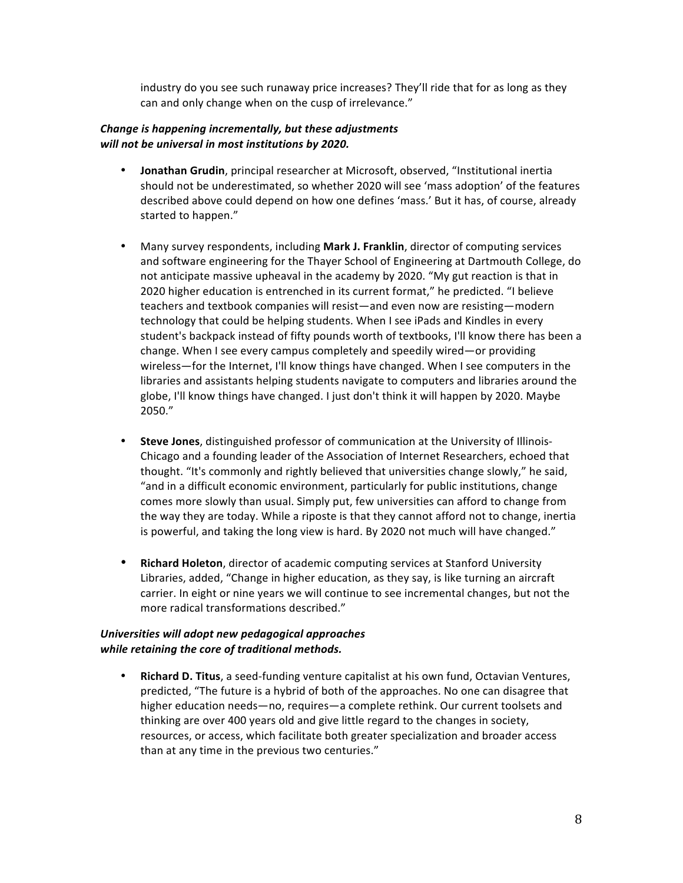industry do you see such runaway price increases? They'll ride that for as long as they can and only change when on the cusp of irrelevance."

#### *Change'is'happening'incrementally,'but'these'adjustments' will'not'be'universal'in'most'institutions'by'2020.'*

- **Jonathan Grudin**, principal researcher at Microsoft, observed, "Institutional inertia should not be underestimated, so whether 2020 will see 'mass adoption' of the features described above could depend on how one defines 'mass.' But it has, of course, already started to happen."
- Many survey respondents, including **Mark J. Franklin**, director of computing services and software engineering for the Thayer School of Engineering at Dartmouth College, do not anticipate massive upheaval in the academy by 2020. "My gut reaction is that in 2020 higher education is entrenched in its current format," he predicted. "I believe teachers and textbook companies will resist—and even now are resisting—modern technology that could be helping students. When I see iPads and Kindles in every student's backpack instead of fifty pounds worth of textbooks, I'll know there has been a change. When I see every campus completely and speedily wired—or providing wireless—for the Internet, I'll know things have changed. When I see computers in the libraries and assistants helping students navigate to computers and libraries around the globe, I'll know things have changed. I just don't think it will happen by 2020. Maybe 2050."
- Steve Jones, distinguished professor of communication at the University of Illinois-Chicago and a founding leader of the Association of Internet Researchers, echoed that thought. "It's commonly and rightly believed that universities change slowly," he said, "and in a difficult economic environment, particularly for public institutions, change comes more slowly than usual. Simply put, few universities can afford to change from the way they are today. While a riposte is that they cannot afford not to change, inertia is powerful, and taking the long view is hard. By 2020 not much will have changed."
- **Richard Holeton**, director of academic computing services at Stanford University Libraries, added, "Change in higher education, as they say, is like turning an aircraft carrier. In eight or nine years we will continue to see incremental changes, but not the more radical transformations described."

### *Universities'will'adopt'new'pedagogical'approaches'* while retaining the core of traditional methods.

**Richard D. Titus**, a seed-funding venture capitalist at his own fund, Octavian Ventures, predicted, "The future is a hybrid of both of the approaches. No one can disagree that higher education needs—no, requires—a complete rethink. Our current toolsets and thinking are over 400 years old and give little regard to the changes in society, resources, or access, which facilitate both greater specialization and broader access than at any time in the previous two centuries."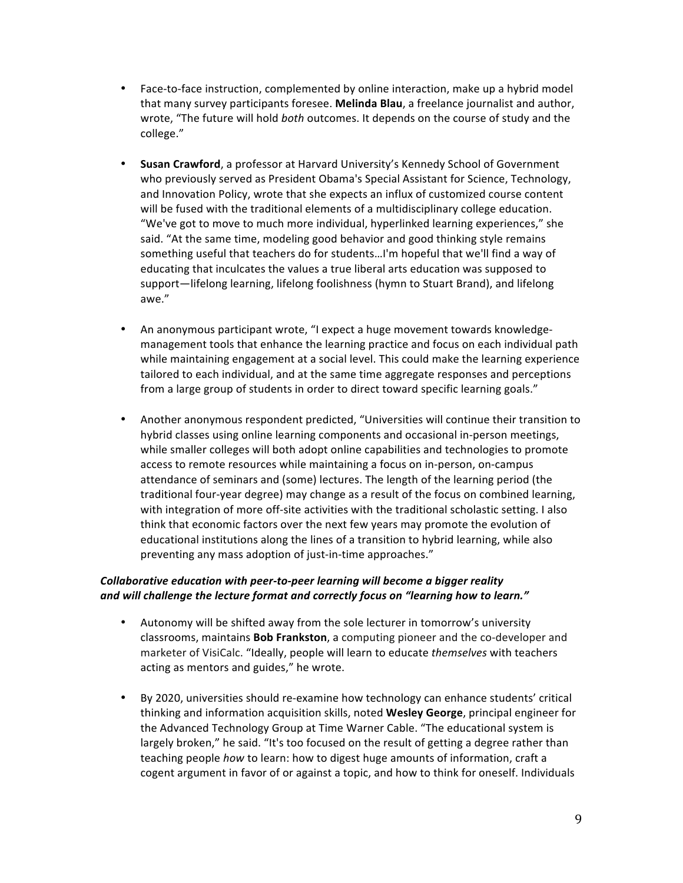- Face-to-face instruction, complemented by online interaction, make up a hybrid model that many survey participants foresee. **Melinda Blau**, a freelance journalist and author, wrote, "The future will hold *both* outcomes. It depends on the course of study and the college."
- **Susan Crawford**, a professor at Harvard University's Kennedy School of Government who previously served as President Obama's Special Assistant for Science, Technology, and Innovation Policy, wrote that she expects an influx of customized course content will be fused with the traditional elements of a multidisciplinary college education. "We've got to move to much more individual, hyperlinked learning experiences," she said. "At the same time, modeling good behavior and good thinking style remains something useful that teachers do for students...I'm hopeful that we'll find a way of educating that inculcates the values a true liberal arts education was supposed to support—lifelong learning, lifelong foolishness (hymn to Stuart Brand), and lifelong awe."
- An anonymous participant wrote, "I expect a huge movement towards knowledgemanagement tools that enhance the learning practice and focus on each individual path while maintaining engagement at a social level. This could make the learning experience tailored to each individual, and at the same time aggregate responses and perceptions from a large group of students in order to direct toward specific learning goals."
- Another anonymous respondent predicted, "Universities will continue their transition to hybrid classes using online learning components and occasional in-person meetings, while smaller colleges will both adopt online capabilities and technologies to promote access to remote resources while maintaining a focus on in-person, on-campus attendance of seminars and (some) lectures. The length of the learning period (the traditional four-year degree) may change as a result of the focus on combined learning, with integration of more off-site activities with the traditional scholastic setting. I also think that economic factors over the next few years may promote the evolution of educational institutions along the lines of a transition to hybrid learning, while also preventing any mass adoption of just-in-time approaches."

### *Collaborative education with peer-to-peer learning will become a bigger reality and'will'challenge'the'lecture format and correctly focus'on'"learning'how'to'learn."*

- Autonomy will be shifted away from the sole lecturer in tomorrow's university classrooms, maintains **Bob Frankston**, a computing pioneer and the co-developer and marketer of VisiCalc. "Ideally, people will learn to educate *themselves* with teachers acting as mentors and guides," he wrote.
- By 2020, universities should re-examine how technology can enhance students' critical thinking and information acquisition skills, noted Wesley George, principal engineer for the Advanced Technology Group at Time Warner Cable. "The educational system is largely broken," he said. "It's too focused on the result of getting a degree rather than teaching people *how* to learn: how to digest huge amounts of information, craft a cogent argument in favor of or against a topic, and how to think for oneself. Individuals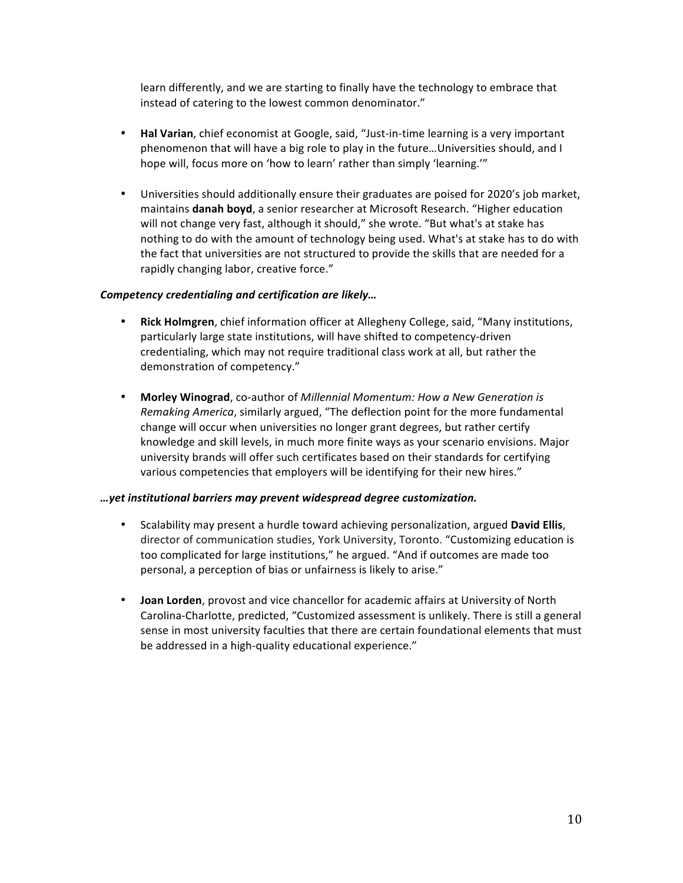learn differently, and we are starting to finally have the technology to embrace that instead of catering to the lowest common denominator."

- **Hal Varian**, chief economist at Google, said, "Just-in-time learning is a very important phenomenon that will have a big role to play in the future... Universities should, and I hope will, focus more on 'how to learn' rather than simply 'learning.'"
- Universities should additionally ensure their graduates are poised for 2020's job market, maintains **danah boyd**, a senior researcher at Microsoft Research. "Higher education will not change very fast, although it should," she wrote. "But what's at stake has nothing to do with the amount of technology being used. What's at stake has to do with the fact that universities are not structured to provide the skills that are needed for a rapidly changing labor, creative force."

#### *Competency'credentialing'and'certification are'likely…*

- **Rick Holmgren**, chief information officer at Allegheny College, said, "Many institutions, particularly large state institutions, will have shifted to competency-driven credentialing, which may not require traditional class work at all, but rather the demonstration of competency."
- Morley Winograd, co-author of *Millennial Momentum: How a New Generation is Remaking America*, similarly argued, "The deflection point for the more fundamental change will occur when universities no longer grant degrees, but rather certify knowledge and skill levels, in much more finite ways as your scenario envisions. Major university brands will offer such certificates based on their standards for certifying various competencies that employers will be identifying for their new hires."

#### *…yet institutional'barriers'may'prevent'widespread'degree'customization.*

- Scalability may present a hurdle toward achieving personalization, argued **David Ellis**, director of communication studies, York University, Toronto. "Customizing education is too complicated for large institutions," he argued. "And if outcomes are made too personal, a perception of bias or unfairness is likely to arise."
- **Joan Lorden**, provost and vice chancellor for academic affairs at University of North Carolina-Charlotte, predicted, "Customized assessment is unlikely. There is still a general sense in most university faculties that there are certain foundational elements that must be addressed in a high-quality educational experience."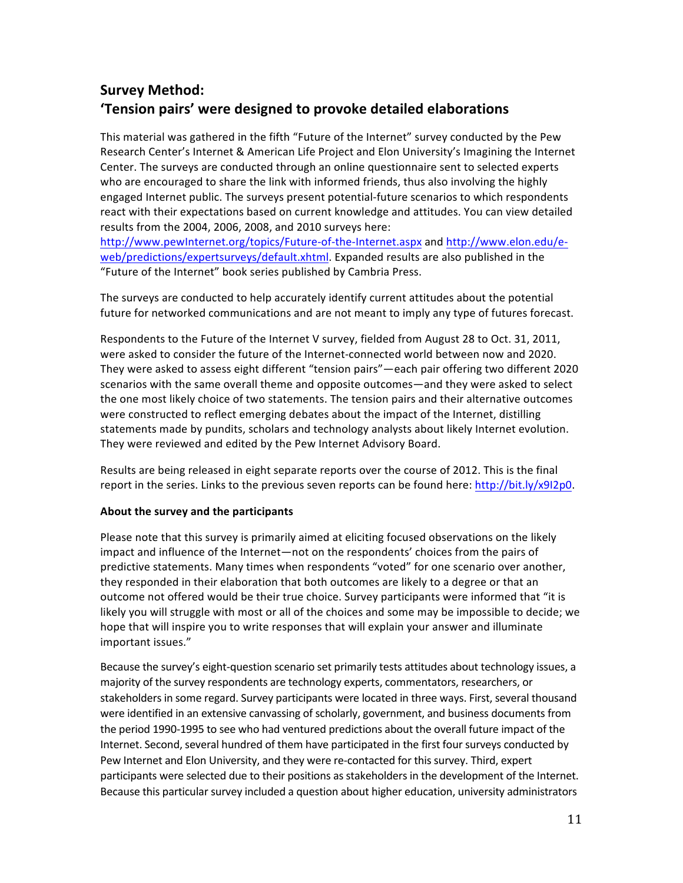## **Survey Method:** 'Tension pairs' were designed to provoke detailed elaborations

This material was gathered in the fifth "Future of the Internet" survey conducted by the Pew Research Center's Internet & American Life Project and Elon University's Imagining the Internet Center. The surveys are conducted through an online questionnaire sent to selected experts who are encouraged to share the link with informed friends, thus also involving the highly engaged Internet public. The surveys present potential-future scenarios to which respondents react with their expectations based on current knowledge and attitudes. You can view detailed results from the 2004, 2006, 2008, and 2010 surveys here: http://www.pewInternet.org/topics/Future-of-the-Internet.aspx and http://www.elon.edu/e-

web/predictions/expertsurveys/default.xhtml. Expanded results are also published in the "Future of the Internet" book series published by Cambria Press.

The surveys are conducted to help accurately identify current attitudes about the potential future for networked communications and are not meant to imply any type of futures forecast.

Respondents to the Future of the Internet V survey, fielded from August 28 to Oct. 31, 2011, were asked to consider the future of the Internet-connected world between now and 2020. They were asked to assess eight different "tension pairs"—each pair offering two different 2020 scenarios with the same overall theme and opposite outcomes—and they were asked to select the one most likely choice of two statements. The tension pairs and their alternative outcomes were constructed to reflect emerging debates about the impact of the Internet, distilling statements made by pundits, scholars and technology analysts about likely Internet evolution. They were reviewed and edited by the Pew Internet Advisory Board.

Results are being released in eight separate reports over the course of 2012. This is the final report in the series. Links to the previous seven reports can be found here: http://bit.ly/x9I2p0.

#### About the survey and the participants

Please note that this survey is primarily aimed at eliciting focused observations on the likely impact and influence of the Internet—not on the respondents' choices from the pairs of predictive statements. Many times when respondents "voted" for one scenario over another, they responded in their elaboration that both outcomes are likely to a degree or that an outcome not offered would be their true choice. Survey participants were informed that "it is likely you will struggle with most or all of the choices and some may be impossible to decide; we hope that will inspire you to write responses that will explain your answer and illuminate important issues."

Because the survey's eight-question scenario set primarily tests attitudes about technology issues, a majority of the survey respondents are technology experts, commentators, researchers, or stakeholders in some regard. Survey participants were located in three ways. First, several thousand were identified in an extensive canvassing of scholarly, government, and business documents from the period 1990-1995 to see who had ventured predictions about the overall future impact of the Internet. Second, several hundred of them have participated in the first four surveys conducted by Pew Internet and Elon University, and they were re-contacted for this survey. Third, expert participants were selected due to their positions as stakeholders in the development of the Internet. Because this particular survey included a question about higher education, university administrators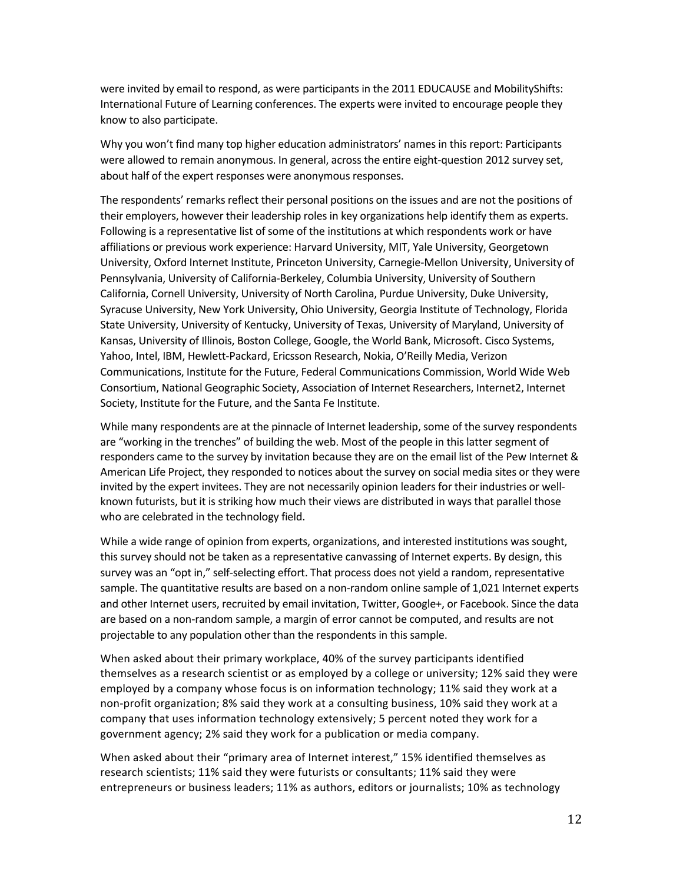were invited by email to respond, as were participants in the 2011 EDUCAUSE and MobilityShifts: International Future of Learning conferences. The experts were invited to encourage people they know to also participate.

Why you won't find many top higher education administrators' names in this report: Participants were allowed to remain anonymous. In general, across the entire eight-question 2012 survey set, about half of the expert responses were anonymous responses.

The respondents' remarks reflect their personal positions on the issues and are not the positions of their employers, however their leadership roles in key organizations help identify them as experts. Following is a representative list of some of the institutions at which respondents work or have affiliations or previous work experience: Harvard University, MIT, Yale University, Georgetown University, Oxford Internet Institute, Princeton University, Carnegie-Mellon University, University of Pennsylvania, University of California-Berkeley, Columbia University, University of Southern California, Cornell University, University of North Carolina, Purdue University, Duke University, Syracuse University, New York University, Ohio University, Georgia Institute of Technology, Florida State University, University of Kentucky, University of Texas, University of Maryland, University of Kansas, University of Illinois, Boston College, Google, the World Bank, Microsoft. Cisco Systems, Yahoo, Intel, IBM, Hewlett-Packard, Ericsson Research, Nokia, O'Reilly Media, Verizon Communications, Institute for the Future, Federal Communications Commission, World Wide Web Consortium, National Geographic Society, Association of Internet Researchers, Internet2, Internet Society, Institute for the Future, and the Santa Fe Institute.

While many respondents are at the pinnacle of Internet leadership, some of the survey respondents are "working in the trenches" of building the web. Most of the people in this latter segment of responders came to the survey by invitation because they are on the email list of the Pew Internet & American Life Project, they responded to notices about the survey on social media sites or they were invited by the expert invitees. They are not necessarily opinion leaders for their industries or wellknown futurists, but it is striking how much their views are distributed in ways that parallel those who are celebrated in the technology field.

While a wide range of opinion from experts, organizations, and interested institutions was sought, this survey should not be taken as a representative canvassing of Internet experts. By design, this survey was an "opt in," self-selecting effort. That process does not yield a random, representative sample. The quantitative results are based on a non-random online sample of 1,021 Internet experts and other Internet users, recruited by email invitation, Twitter, Google+, or Facebook. Since the data are based on a non-random sample, a margin of error cannot be computed, and results are not projectable to any population other than the respondents in this sample.

When asked about their primary workplace, 40% of the survey participants identified themselves as a research scientist or as employed by a college or university; 12% said they were employed by a company whose focus is on information technology; 11% said they work at a non-profit organization; 8% said they work at a consulting business, 10% said they work at a company that uses information technology extensively; 5 percent noted they work for a government agency; 2% said they work for a publication or media company.

When asked about their "primary area of Internet interest," 15% identified themselves as research scientists; 11% said they were futurists or consultants; 11% said they were entrepreneurs or business leaders; 11% as authors, editors or journalists; 10% as technology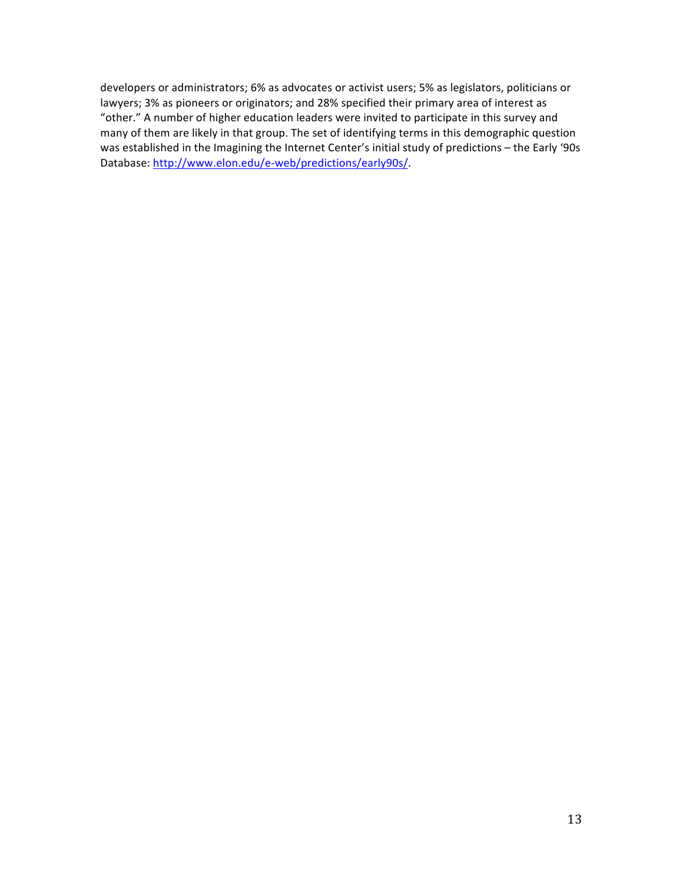developers or administrators; 6% as advocates or activist users; 5% as legislators, politicians or lawyers; 3% as pioneers or originators; and 28% specified their primary area of interest as "other." A number of higher education leaders were invited to participate in this survey and many of them are likely in that group. The set of identifying terms in this demographic question was established in the Imagining the Internet Center's initial study of predictions – the Early '90s Database: http://www.elon.edu/e-web/predictions/early90s/.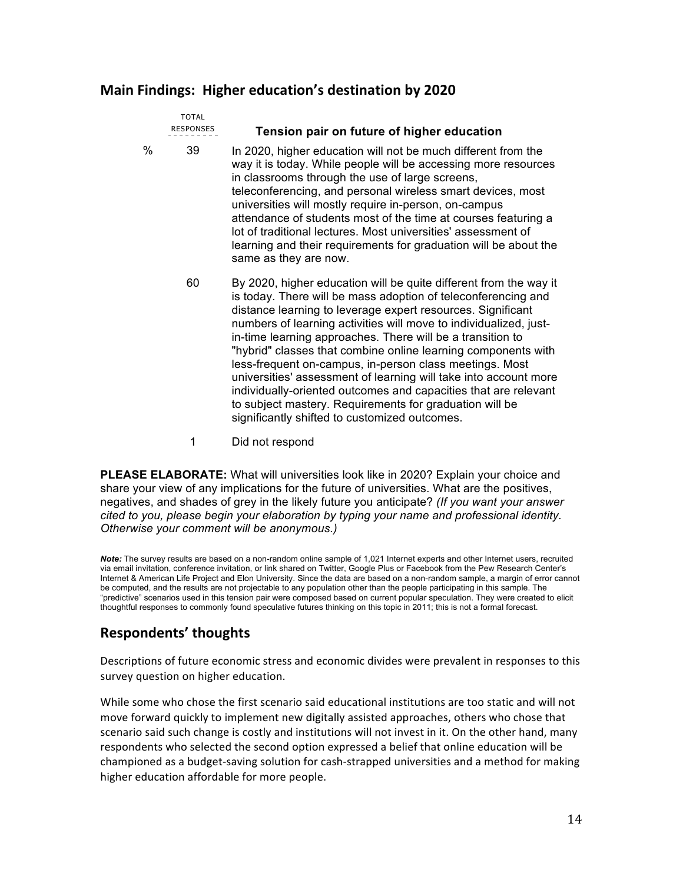## **Main Findings: Higher education's destination by 2020**

|   | <b>TOTAL</b><br><b>RESPONSES</b> | Tension pair on future of higher education                                                                                                                                                                                                                                                                                                                                                                                                                                                                                                                                                                                                                                                                          |
|---|----------------------------------|---------------------------------------------------------------------------------------------------------------------------------------------------------------------------------------------------------------------------------------------------------------------------------------------------------------------------------------------------------------------------------------------------------------------------------------------------------------------------------------------------------------------------------------------------------------------------------------------------------------------------------------------------------------------------------------------------------------------|
| ℅ | 39                               | In 2020, higher education will not be much different from the<br>way it is today. While people will be accessing more resources<br>in classrooms through the use of large screens,<br>teleconferencing, and personal wireless smart devices, most<br>universities will mostly require in-person, on-campus<br>attendance of students most of the time at courses featuring a<br>lot of traditional lectures. Most universities' assessment of<br>learning and their requirements for graduation will be about the<br>same as they are now.                                                                                                                                                                          |
|   | 60                               | By 2020, higher education will be quite different from the way it<br>is today. There will be mass adoption of teleconferencing and<br>distance learning to leverage expert resources. Significant<br>numbers of learning activities will move to individualized, just-<br>in-time learning approaches. There will be a transition to<br>"hybrid" classes that combine online learning components with<br>less-frequent on-campus, in-person class meetings. Most<br>universities' assessment of learning will take into account more<br>individually-oriented outcomes and capacities that are relevant<br>to subject mastery. Requirements for graduation will be<br>significantly shifted to customized outcomes. |

1 Did not respond

**PLEASE ELABORATE:** What will universities look like in 2020? Explain your choice and share your view of any implications for the future of universities. What are the positives, negatives, and shades of grey in the likely future you anticipate? *(If you want your answer cited to you, please begin your elaboration by typing your name and professional identity. Otherwise your comment will be anonymous.)*

*Note:* The survey results are based on a non-random online sample of 1,021 Internet experts and other Internet users, recruited via email invitation, conference invitation, or link shared on Twitter, Google Plus or Facebook from the Pew Research Center's Internet & American Life Project and Elon University. Since the data are based on a non-random sample, a margin of error cannot be computed, and the results are not projectable to any population other than the people participating in this sample. The "predictive" scenarios used in this tension pair were composed based on current popular speculation. They were created to elicit thoughtful responses to commonly found speculative futures thinking on this topic in 2011; this is not a formal forecast.

## **Respondents' thoughts**

Descriptions of future economic stress and economic divides were prevalent in responses to this survey question on higher education.

While some who chose the first scenario said educational institutions are too static and will not move forward quickly to implement new digitally assisted approaches, others who chose that scenario said such change is costly and institutions will not invest in it. On the other hand, many respondents who selected the second option expressed a belief that online education will be championed as a budget-saving solution for cash-strapped universities and a method for making higher education affordable for more people.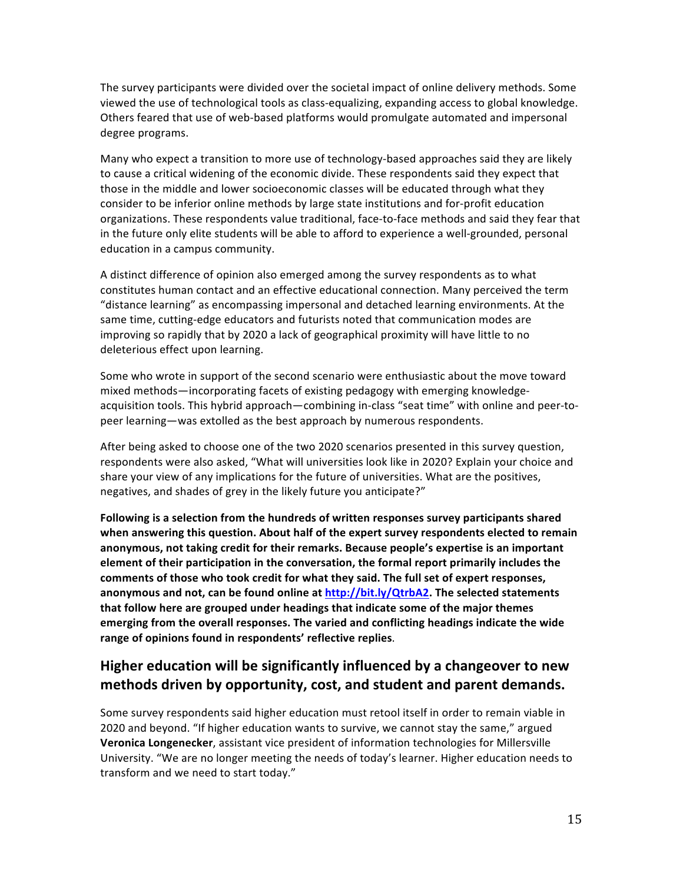The survey participants were divided over the societal impact of online delivery methods. Some viewed the use of technological tools as class-equalizing, expanding access to global knowledge. Others feared that use of web-based platforms would promulgate automated and impersonal degree programs.

Many who expect a transition to more use of technology-based approaches said they are likely to cause a critical widening of the economic divide. These respondents said they expect that those in the middle and lower socioeconomic classes will be educated through what they consider to be inferior online methods by large state institutions and for-profit education organizations. These respondents value traditional, face-to-face methods and said they fear that in the future only elite students will be able to afford to experience a well-grounded, personal education in a campus community.

A distinct difference of opinion also emerged among the survey respondents as to what constitutes human contact and an effective educational connection. Many perceived the term "distance learning" as encompassing impersonal and detached learning environments. At the same time, cutting-edge educators and futurists noted that communication modes are improving so rapidly that by 2020 a lack of geographical proximity will have little to no deleterious effect upon learning.

Some who wrote in support of the second scenario were enthusiastic about the move toward mixed methods—incorporating facets of existing pedagogy with emerging knowledgeacquisition tools. This hybrid approach—combining in-class "seat time" with online and peer-topeer learning—was extolled as the best approach by numerous respondents.

After being asked to choose one of the two 2020 scenarios presented in this survey question, respondents were also asked, "What will universities look like in 2020? Explain your choice and share your view of any implications for the future of universities. What are the positives, negatives, and shades of grey in the likely future you anticipate?"

Following is a selection from the hundreds of written responses survey participants shared when answering this question. About half of the expert survey respondents elected to remain anonymous, not taking credit for their remarks. Because people's expertise is an important element of their participation in the conversation, the formal report primarily includes the comments of those who took credit for what they said. The full set of expert responses, anonymous and not, can be found online at http://bit.ly/QtrbA2. The selected statements that follow here are grouped under headings that indicate some of the major themes emerging from the overall responses. The varied and conflicting headings indicate the wide range of opinions found in respondents' reflective replies.

## **Higher education will be significantly influenced by a changeover to new methods driven by opportunity, cost, and student and parent demands.**

Some survey respondents said higher education must retool itself in order to remain viable in 2020 and beyond. "If higher education wants to survive, we cannot stay the same," argued Veronica Longenecker, assistant vice president of information technologies for Millersville University. "We are no longer meeting the needs of today's learner. Higher education needs to transform and we need to start today."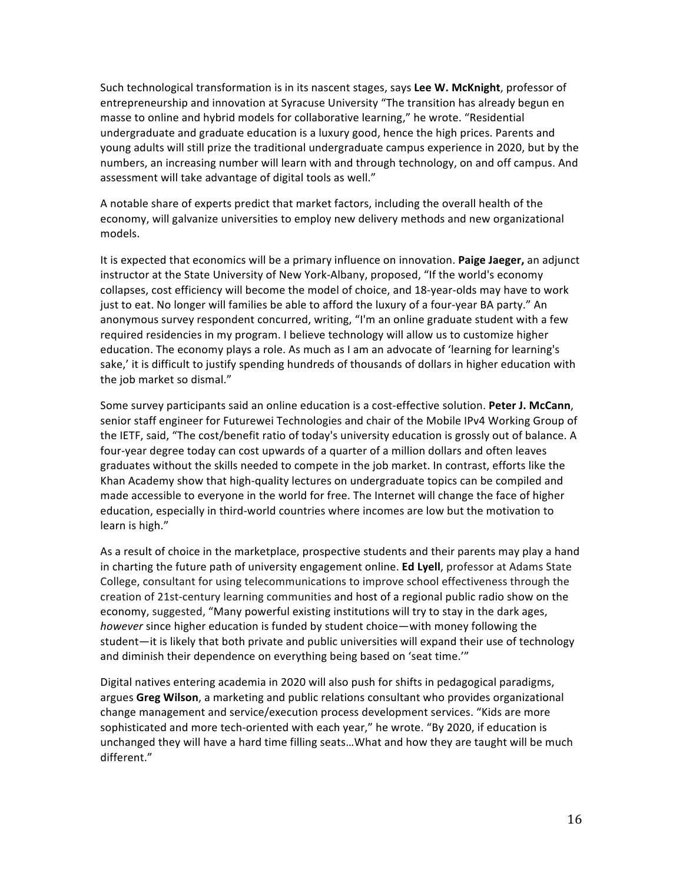Such technological transformation is in its nascent stages, says Lee W. McKnight, professor of entrepreneurship and innovation at Syracuse University "The transition has already begun en masse to online and hybrid models for collaborative learning," he wrote. "Residential undergraduate and graduate education is a luxury good, hence the high prices. Parents and young adults will still prize the traditional undergraduate campus experience in 2020, but by the numbers, an increasing number will learn with and through technology, on and off campus. And assessment will take advantage of digital tools as well."

A notable share of experts predict that market factors, including the overall health of the economy, will galvanize universities to employ new delivery methods and new organizational models.

It is expected that economics will be a primary influence on innovation. **Paige Jaeger,** an adjunct instructor at the State University of New York-Albany, proposed, "If the world's economy collapses, cost efficiency will become the model of choice, and 18-year-olds may have to work just to eat. No longer will families be able to afford the luxury of a four-year BA party." An anonymous survey respondent concurred, writing, "I'm an online graduate student with a few required residencies in my program. I believe technology will allow us to customize higher education. The economy plays a role. As much as I am an advocate of 'learning for learning's sake,' it is difficult to justify spending hundreds of thousands of dollars in higher education with the job market so dismal."

Some survey participants said an online education is a cost-effective solution. **Peter J. McCann**, senior staff engineer for Futurewei Technologies and chair of the Mobile IPv4 Working Group of the IETF, said, "The cost/benefit ratio of today's university education is grossly out of balance. A four-year degree today can cost upwards of a quarter of a million dollars and often leaves graduates without the skills needed to compete in the job market. In contrast, efforts like the Khan Academy show that high-quality lectures on undergraduate topics can be compiled and made accessible to everyone in the world for free. The Internet will change the face of higher education, especially in third-world countries where incomes are low but the motivation to learn is high."

As a result of choice in the marketplace, prospective students and their parents may play a hand in charting the future path of university engagement online. **Ed Lyell**, professor at Adams State College, consultant for using telecommunications to improve school effectiveness through the creation of 21st-century learning communities and host of a regional public radio show on the economy, suggested, "Many powerful existing institutions will try to stay in the dark ages, *however* since higher education is funded by student choice—with money following the student—it is likely that both private and public universities will expand their use of technology and diminish their dependence on everything being based on 'seat time.'"

Digital natives entering academia in 2020 will also push for shifts in pedagogical paradigms, argues Greg Wilson, a marketing and public relations consultant who provides organizational change management and service/execution process development services. "Kids are more sophisticated and more tech-oriented with each year," he wrote. "By 2020, if education is unchanged they will have a hard time filling seats...What and how they are taught will be much different."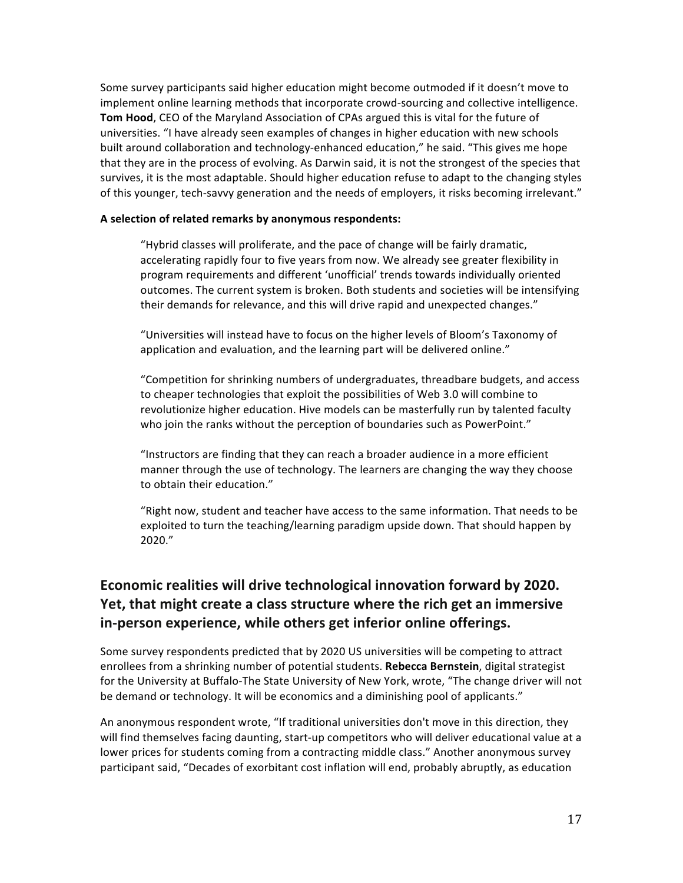Some survey participants said higher education might become outmoded if it doesn't move to implement online learning methods that incorporate crowd-sourcing and collective intelligence. **Tom Hood, CEO** of the Maryland Association of CPAs argued this is vital for the future of universities. "I have already seen examples of changes in higher education with new schools built around collaboration and technology-enhanced education," he said. "This gives me hope that they are in the process of evolving. As Darwin said, it is not the strongest of the species that survives, it is the most adaptable. Should higher education refuse to adapt to the changing styles of this younger, tech-savvy generation and the needs of employers, it risks becoming irrelevant."

#### A selection of related remarks by anonymous respondents:

"Hybrid classes will proliferate, and the pace of change will be fairly dramatic, accelerating rapidly four to five years from now. We already see greater flexibility in program requirements and different 'unofficial' trends towards individually oriented outcomes. The current system is broken. Both students and societies will be intensifying their demands for relevance, and this will drive rapid and unexpected changes."

"Universities will instead have to focus on the higher levels of Bloom's Taxonomy of application and evaluation, and the learning part will be delivered online."

"Competition for shrinking numbers of undergraduates, threadbare budgets, and access to cheaper technologies that exploit the possibilities of Web 3.0 will combine to revolutionize higher education. Hive models can be masterfully run by talented faculty who join the ranks without the perception of boundaries such as PowerPoint."

"Instructors are finding that they can reach a broader audience in a more efficient manner through the use of technology. The learners are changing the way they choose to obtain their education."

"Right now, student and teacher have access to the same information. That needs to be exploited to turn the teaching/learning paradigm upside down. That should happen by 2020."

## **Economic\$realities will\$drive\$technological\$innovation forward by\$2020. Yet, that might create a class structure where the rich get an immersive** in-person experience, while others get inferior online offerings.

Some survey respondents predicted that by 2020 US universities will be competing to attract enrollees from a shrinking number of potential students. Rebecca Bernstein, digital strategist for the University at Buffalo-The State University of New York, wrote, "The change driver will not be demand or technology. It will be economics and a diminishing pool of applicants."

An anonymous respondent wrote, "If traditional universities don't move in this direction, they will find themselves facing daunting, start-up competitors who will deliver educational value at a lower prices for students coming from a contracting middle class." Another anonymous survey participant said, "Decades of exorbitant cost inflation will end, probably abruptly, as education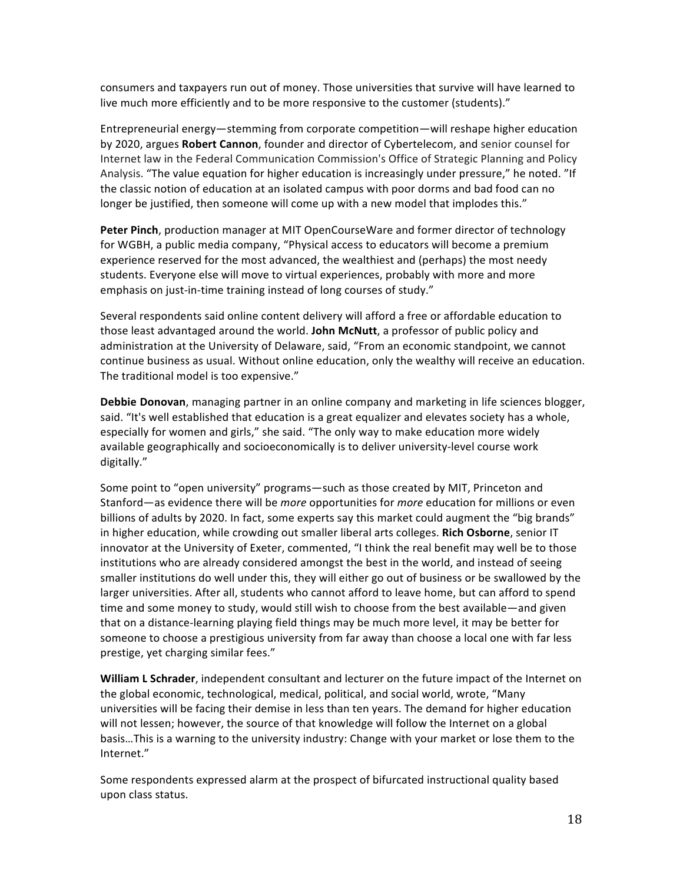consumers and taxpayers run out of money. Those universities that survive will have learned to live much more efficiently and to be more responsive to the customer (students)."

Entrepreneurial energy—stemming from corporate competition—will reshape higher education by 2020, argues **Robert Cannon**, founder and director of Cybertelecom, and senior counsel for Internet law in the Federal Communication Commission's Office of Strategic Planning and Policy Analysis. "The value equation for higher education is increasingly under pressure," he noted. "If the classic notion of education at an isolated campus with poor dorms and bad food can no longer be justified, then someone will come up with a new model that implodes this."

**Peter Pinch**, production manager at MIT OpenCourseWare and former director of technology for WGBH, a public media company, "Physical access to educators will become a premium experience reserved for the most advanced, the wealthiest and (perhaps) the most needy students. Everyone else will move to virtual experiences, probably with more and more emphasis on just-in-time training instead of long courses of study."

Several respondents said online content delivery will afford a free or affordable education to those least advantaged around the world. John McNutt, a professor of public policy and administration at the University of Delaware, said, "From an economic standpoint, we cannot continue business as usual. Without online education, only the wealthy will receive an education. The traditional model is too expensive."

**Debbie Donovan**, managing partner in an online company and marketing in life sciences blogger, said. "It's well established that education is a great equalizer and elevates society has a whole, especially for women and girls," she said. "The only way to make education more widely available geographically and socioeconomically is to deliver university-level course work digitally."

Some point to "open university" programs—such as those created by MIT, Princeton and Stanford—as evidence there will be *more* opportunities for *more* education for millions or even billions of adults by 2020. In fact, some experts say this market could augment the "big brands" in higher education, while crowding out smaller liberal arts colleges. Rich Osborne, senior IT innovator at the University of Exeter, commented, "I think the real benefit may well be to those institutions who are already considered amongst the best in the world, and instead of seeing smaller institutions do well under this, they will either go out of business or be swallowed by the larger universities. After all, students who cannot afford to leave home, but can afford to spend time and some money to study, would still wish to choose from the best available—and given that on a distance-learning playing field things may be much more level, it may be better for someone to choose a prestigious university from far away than choose a local one with far less prestige, yet charging similar fees."

**William L Schrader**, independent consultant and lecturer on the future impact of the Internet on the global economic, technological, medical, political, and social world, wrote, "Many universities will be facing their demise in less than ten years. The demand for higher education will not lessen; however, the source of that knowledge will follow the Internet on a global basis...This is a warning to the university industry: Change with your market or lose them to the Internet."

Some respondents expressed alarm at the prospect of bifurcated instructional quality based upon class status.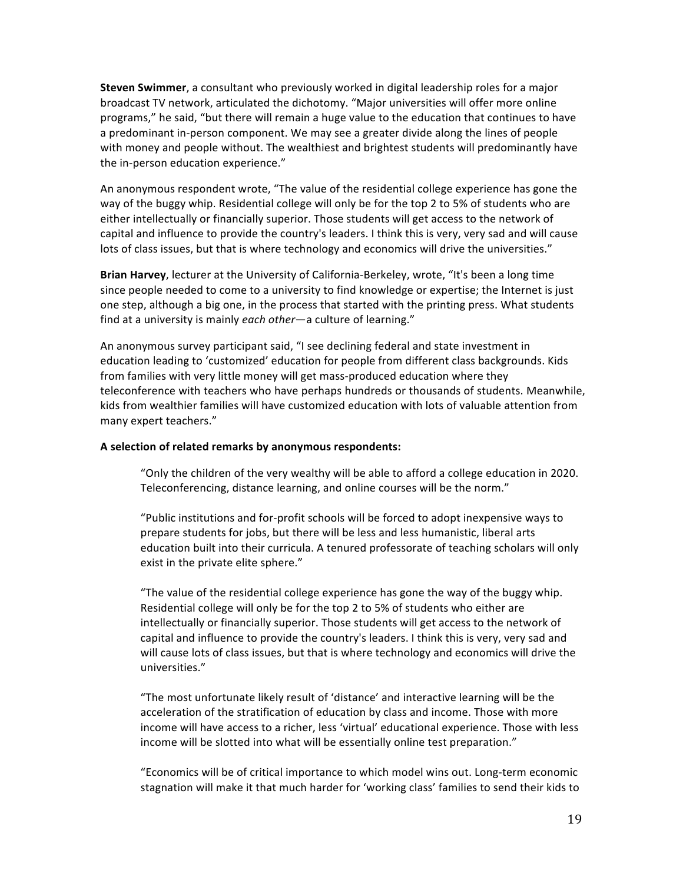**Steven Swimmer**, a consultant who previously worked in digital leadership roles for a major broadcast TV network, articulated the dichotomy. "Major universities will offer more online programs," he said, "but there will remain a huge value to the education that continues to have a predominant in-person component. We may see a greater divide along the lines of people with money and people without. The wealthiest and brightest students will predominantly have the in-person education experience."

An anonymous respondent wrote, "The value of the residential college experience has gone the way of the buggy whip. Residential college will only be for the top 2 to 5% of students who are either intellectually or financially superior. Those students will get access to the network of capital and influence to provide the country's leaders. I think this is very, very sad and will cause lots of class issues, but that is where technology and economics will drive the universities."

Brian Harvey, lecturer at the University of California-Berkeley, wrote, "It's been a long time since people needed to come to a university to find knowledge or expertise; the Internet is just one step, although a big one, in the process that started with the printing press. What students find at a university is mainly *each other*—a culture of learning."

An anonymous survey participant said, "I see declining federal and state investment in education leading to 'customized' education for people from different class backgrounds. Kids from families with very little money will get mass-produced education where they teleconference with teachers who have perhaps hundreds or thousands of students. Meanwhile, kids from wealthier families will have customized education with lots of valuable attention from many expert teachers."

#### A selection of related remarks by anonymous respondents:

"Only the children of the very wealthy will be able to afford a college education in 2020. Teleconferencing, distance learning, and online courses will be the norm."

"Public institutions and for-profit schools will be forced to adopt inexpensive ways to prepare students for jobs, but there will be less and less humanistic, liberal arts education built into their curricula. A tenured professorate of teaching scholars will only exist in the private elite sphere."

"The value of the residential college experience has gone the way of the buggy whip. Residential college will only be for the top 2 to 5% of students who either are intellectually or financially superior. Those students will get access to the network of capital and influence to provide the country's leaders. I think this is very, very sad and will cause lots of class issues, but that is where technology and economics will drive the universities."

"The most unfortunate likely result of 'distance' and interactive learning will be the acceleration of the stratification of education by class and income. Those with more income will have access to a richer, less 'virtual' educational experience. Those with less income will be slotted into what will be essentially online test preparation."

"Economics will be of critical importance to which model wins out. Long-term economic stagnation will make it that much harder for 'working class' families to send their kids to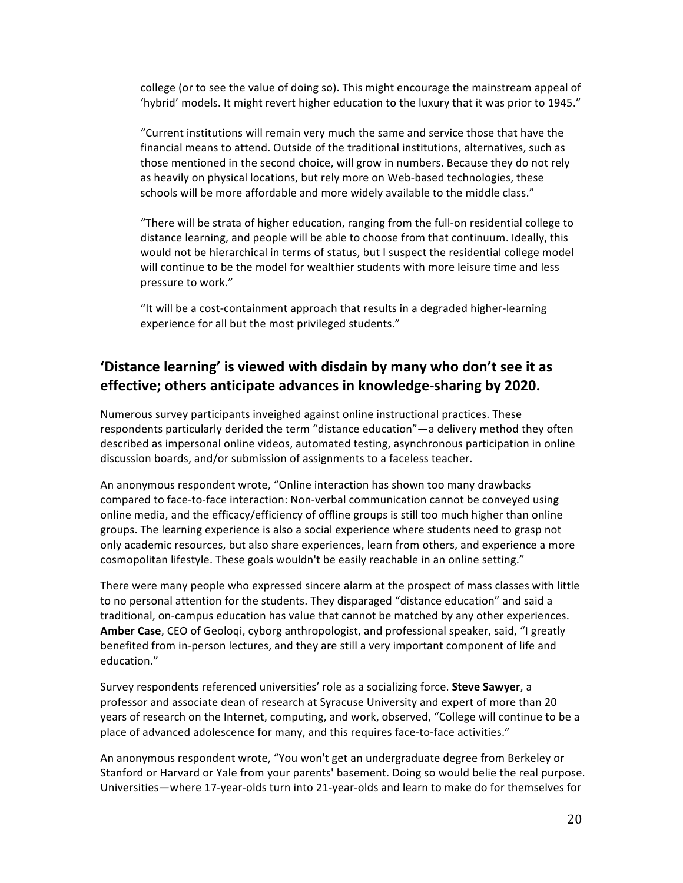college (or to see the value of doing so). This might encourage the mainstream appeal of 'hybrid' models. It might revert higher education to the luxury that it was prior to 1945."

"Current institutions will remain very much the same and service those that have the financial means to attend. Outside of the traditional institutions, alternatives, such as those mentioned in the second choice, will grow in numbers. Because they do not rely as heavily on physical locations, but rely more on Web-based technologies, these schools will be more affordable and more widely available to the middle class."

"There will be strata of higher education, ranging from the full-on residential college to distance learning, and people will be able to choose from that continuum. Ideally, this would not be hierarchical in terms of status, but I suspect the residential college model will continue to be the model for wealthier students with more leisure time and less pressure to work."

"It will be a cost-containment approach that results in a degraded higher-learning experience for all but the most privileged students."

## 'Distance learning' is viewed with disdain by many who don't see it as **effective; others anticipate advances in knowledge-sharing by 2020.**

Numerous survey participants inveighed against online instructional practices. These respondents particularly derided the term "distance education"—a delivery method they often described as impersonal online videos, automated testing, asynchronous participation in online discussion boards, and/or submission of assignments to a faceless teacher.

An anonymous respondent wrote, "Online interaction has shown too many drawbacks compared to face-to-face interaction: Non-verbal communication cannot be conveyed using online media, and the efficacy/efficiency of offline groups is still too much higher than online groups. The learning experience is also a social experience where students need to grasp not only academic resources, but also share experiences, learn from others, and experience a more cosmopolitan lifestyle. These goals wouldn't be easily reachable in an online setting."

There were many people who expressed sincere alarm at the prospect of mass classes with little to no personal attention for the students. They disparaged "distance education" and said a traditional, on-campus education has value that cannot be matched by any other experiences. Amber Case, CEO of Geoloqi, cyborg anthropologist, and professional speaker, said, "I greatly benefited from in-person lectures, and they are still a very important component of life and education."

Survey respondents referenced universities' role as a socializing force. Steve Sawyer, a professor and associate dean of research at Syracuse University and expert of more than 20 years of research on the Internet, computing, and work, observed, "College will continue to be a place of advanced adolescence for many, and this requires face-to-face activities."

An anonymous respondent wrote, "You won't get an undergraduate degree from Berkeley or Stanford or Harvard or Yale from your parents' basement. Doing so would belie the real purpose. Universities—where 17-year-olds turn into 21-year-olds and learn to make do for themselves for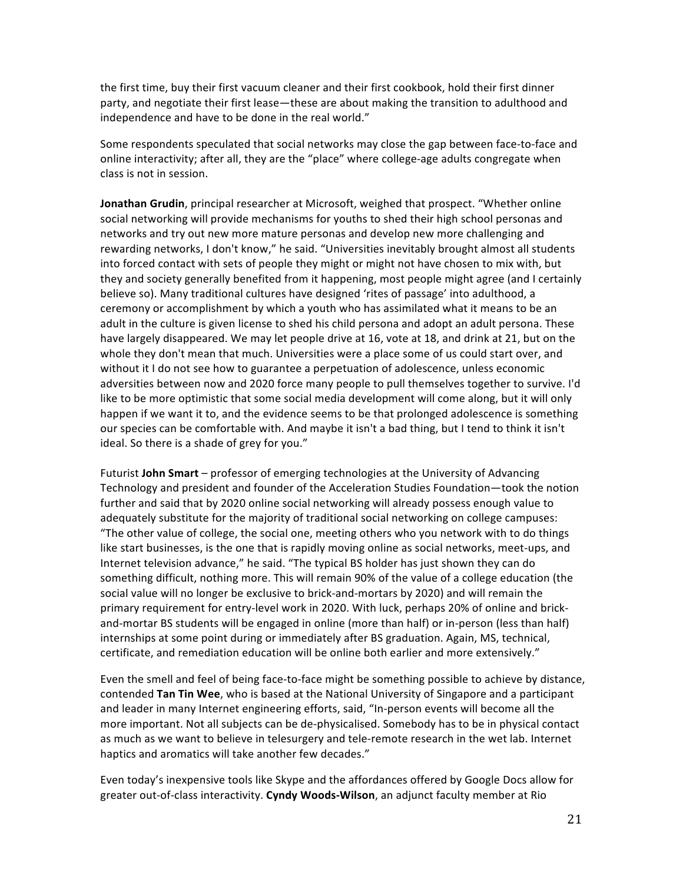the first time, buy their first vacuum cleaner and their first cookbook, hold their first dinner party, and negotiate their first lease—these are about making the transition to adulthood and independence and have to be done in the real world."

Some respondents speculated that social networks may close the gap between face-to-face and online interactivity; after all, they are the "place" where college-age adults congregate when class is not in session.

**Jonathan Grudin**, principal researcher at Microsoft, weighed that prospect. "Whether online social networking will provide mechanisms for youths to shed their high school personas and networks and try out new more mature personas and develop new more challenging and rewarding networks, I don't know," he said. "Universities inevitably brought almost all students into forced contact with sets of people they might or might not have chosen to mix with, but they and society generally benefited from it happening, most people might agree (and I certainly believe so). Many traditional cultures have designed 'rites of passage' into adulthood, a ceremony or accomplishment by which a youth who has assimilated what it means to be an adult in the culture is given license to shed his child persona and adopt an adult persona. These have largely disappeared. We may let people drive at 16, vote at 18, and drink at 21, but on the whole they don't mean that much. Universities were a place some of us could start over, and without it I do not see how to guarantee a perpetuation of adolescence, unless economic adversities between now and 2020 force many people to pull themselves together to survive. I'd like to be more optimistic that some social media development will come along, but it will only happen if we want it to, and the evidence seems to be that prolonged adolescence is something our species can be comfortable with. And maybe it isn't a bad thing, but I tend to think it isn't ideal. So there is a shade of grey for you."

Futurist **John Smart** – professor of emerging technologies at the University of Advancing Technology and president and founder of the Acceleration Studies Foundation—took the notion further and said that by 2020 online social networking will already possess enough value to adequately substitute for the majority of traditional social networking on college campuses: "The other value of college, the social one, meeting others who you network with to do things like start businesses, is the one that is rapidly moving online as social networks, meet-ups, and Internet television advance," he said. "The typical BS holder has just shown they can do something difficult, nothing more. This will remain 90% of the value of a college education (the social value will no longer be exclusive to brick-and-mortars by 2020) and will remain the primary requirement for entry-level work in 2020. With luck, perhaps 20% of online and brickand-mortar BS students will be engaged in online (more than half) or in-person (less than half) internships at some point during or immediately after BS graduation. Again, MS, technical, certificate, and remediation education will be online both earlier and more extensively."

Even the smell and feel of being face-to-face might be something possible to achieve by distance, contended **Tan Tin Wee**, who is based at the National University of Singapore and a participant and leader in many Internet engineering efforts, said, "In-person events will become all the more important. Not all subjects can be de-physicalised. Somebody has to be in physical contact as much as we want to believe in telesurgery and tele-remote research in the wet lab. Internet haptics and aromatics will take another few decades."

Even today's inexpensive tools like Skype and the affordances offered by Google Docs allow for greater out-of-class interactivity. Cyndy Woods-Wilson, an adjunct faculty member at Rio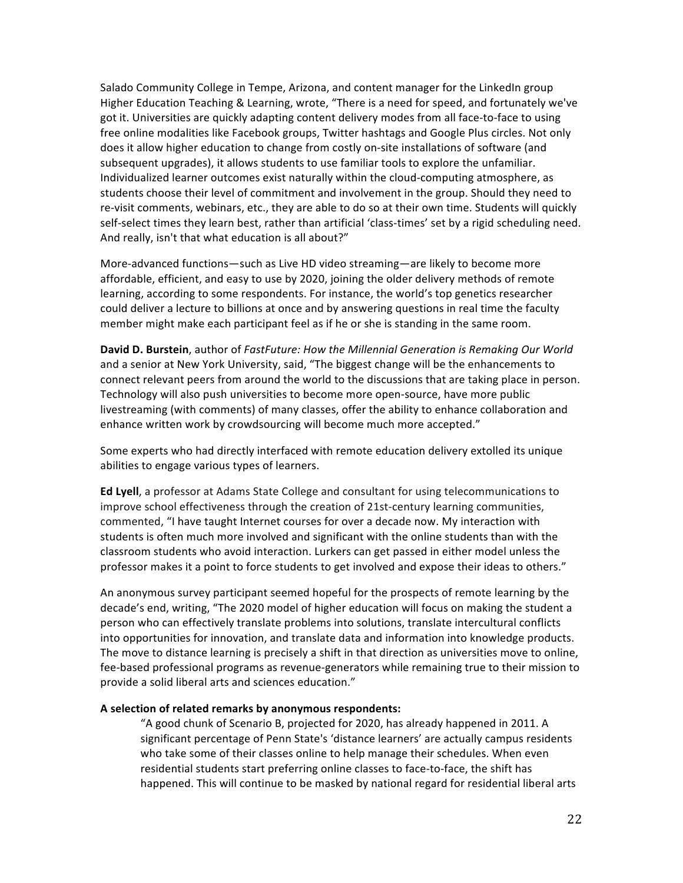Salado Community College in Tempe, Arizona, and content manager for the LinkedIn group Higher Education Teaching & Learning, wrote, "There is a need for speed, and fortunately we've got it. Universities are quickly adapting content delivery modes from all face-to-face to using free online modalities like Facebook groups, Twitter hashtags and Google Plus circles. Not only does it allow higher education to change from costly on-site installations of software (and subsequent upgrades), it allows students to use familiar tools to explore the unfamiliar. Individualized learner outcomes exist naturally within the cloud-computing atmosphere, as students choose their level of commitment and involvement in the group. Should they need to re-visit comments, webinars, etc., they are able to do so at their own time. Students will quickly self-select times they learn best, rather than artificial 'class-times' set by a rigid scheduling need. And really, isn't that what education is all about?"

More-advanced functions—such as Live HD video streaming—are likely to become more affordable, efficient, and easy to use by 2020, joining the older delivery methods of remote learning, according to some respondents. For instance, the world's top genetics researcher could deliver a lecture to billions at once and by answering questions in real time the faculty member might make each participant feel as if he or she is standing in the same room.

**David D. Burstein**, author of *FastFuture: How the Millennial Generation is Remaking Our World* and a senior at New York University, said, "The biggest change will be the enhancements to connect relevant peers from around the world to the discussions that are taking place in person. Technology will also push universities to become more open-source, have more public livestreaming (with comments) of many classes, offer the ability to enhance collaboration and enhance written work by crowdsourcing will become much more accepted."

Some experts who had directly interfaced with remote education delivery extolled its unique abilities to engage various types of learners.

**Ed Lyell**, a professor at Adams State College and consultant for using telecommunications to improve school effectiveness through the creation of 21st-century learning communities, commented, "I have taught Internet courses for over a decade now. My interaction with students is often much more involved and significant with the online students than with the classroom students who avoid interaction. Lurkers can get passed in either model unless the professor makes it a point to force students to get involved and expose their ideas to others."

An anonymous survey participant seemed hopeful for the prospects of remote learning by the decade's end, writing, "The 2020 model of higher education will focus on making the student a person who can effectively translate problems into solutions, translate intercultural conflicts into opportunities for innovation, and translate data and information into knowledge products. The move to distance learning is precisely a shift in that direction as universities move to online, fee-based professional programs as revenue-generators while remaining true to their mission to provide a solid liberal arts and sciences education."

#### A selection of related remarks by anonymous respondents:

"A good chunk of Scenario B, projected for 2020, has already happened in 2011. A significant percentage of Penn State's 'distance learners' are actually campus residents who take some of their classes online to help manage their schedules. When even residential students start preferring online classes to face-to-face, the shift has happened. This will continue to be masked by national regard for residential liberal arts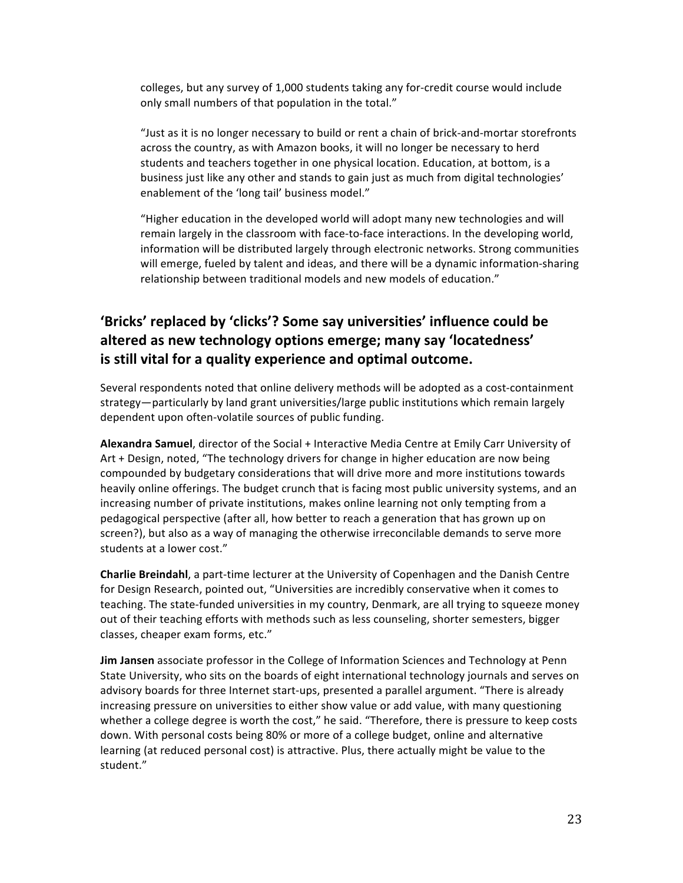colleges, but any survey of 1,000 students taking any for-credit course would include only small numbers of that population in the total."

"Just as it is no longer necessary to build or rent a chain of brick-and-mortar storefronts across the country, as with Amazon books, it will no longer be necessary to herd students and teachers together in one physical location. Education, at bottom, is a business just like any other and stands to gain just as much from digital technologies' enablement of the 'long tail' business model."

"Higher education in the developed world will adopt many new technologies and will remain largely in the classroom with face-to-face interactions. In the developing world, information will be distributed largely through electronic networks. Strong communities will emerge, fueled by talent and ideas, and there will be a dynamic information-sharing relationship between traditional models and new models of education."

## 'Bricks' replaced by 'clicks'? Some say universities' influence could be altered as new technology options emerge; many say 'locatedness' is still vital for a quality experience and optimal outcome.

Several respondents noted that online delivery methods will be adopted as a cost-containment strategy—particularly by land grant universities/large public institutions which remain largely dependent upon often-volatile sources of public funding.

Alexandra Samuel, director of the Social + Interactive Media Centre at Emily Carr University of Art + Design, noted, "The technology drivers for change in higher education are now being compounded by budgetary considerations that will drive more and more institutions towards heavily online offerings. The budget crunch that is facing most public university systems, and an increasing number of private institutions, makes online learning not only tempting from a pedagogical perspective (after all, how better to reach a generation that has grown up on screen?), but also as a way of managing the otherwise irreconcilable demands to serve more students at a lower cost."

Charlie Breindahl, a part-time lecturer at the University of Copenhagen and the Danish Centre for Design Research, pointed out, "Universities are incredibly conservative when it comes to teaching. The state-funded universities in my country, Denmark, are all trying to squeeze money out of their teaching efforts with methods such as less counseling, shorter semesters, bigger classes, cheaper exam forms, etc."

**Jim Jansen** associate professor in the College of Information Sciences and Technology at Penn State University, who sits on the boards of eight international technology journals and serves on advisory boards for three Internet start-ups, presented a parallel argument. "There is already increasing pressure on universities to either show value or add value, with many questioning whether a college degree is worth the cost," he said. "Therefore, there is pressure to keep costs down. With personal costs being 80% or more of a college budget, online and alternative learning (at reduced personal cost) is attractive. Plus, there actually might be value to the student."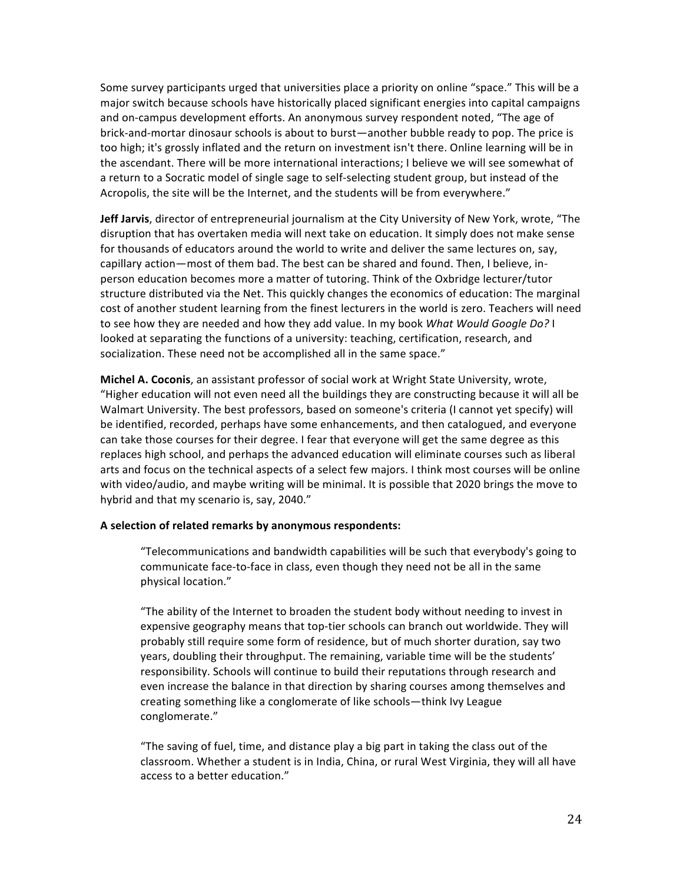Some survey participants urged that universities place a priority on online "space." This will be a major switch because schools have historically placed significant energies into capital campaigns and on-campus development efforts. An anonymous survey respondent noted, "The age of brick-and-mortar dinosaur schools is about to burst—another bubble ready to pop. The price is too high; it's grossly inflated and the return on investment isn't there. Online learning will be in the ascendant. There will be more international interactions; I believe we will see somewhat of a return to a Socratic model of single sage to self-selecting student group, but instead of the Acropolis, the site will be the Internet, and the students will be from everywhere."

**Jeff Jarvis**, director of entrepreneurial journalism at the City University of New York, wrote, "The disruption that has overtaken media will next take on education. It simply does not make sense for thousands of educators around the world to write and deliver the same lectures on, say, capillary action—most of them bad. The best can be shared and found. Then, I believe, inperson education becomes more a matter of tutoring. Think of the Oxbridge lecturer/tutor structure distributed via the Net. This quickly changes the economics of education: The marginal cost of another student learning from the finest lecturers in the world is zero. Teachers will need to see how they are needed and how they add value. In my book *What Would Google Do?* I looked at separating the functions of a university: teaching, certification, research, and socialization. These need not be accomplished all in the same space."

**Michel A. Coconis**, an assistant professor of social work at Wright State University, wrote, "Higher education will not even need all the buildings they are constructing because it will all be Walmart University. The best professors, based on someone's criteria (I cannot yet specify) will be identified, recorded, perhaps have some enhancements, and then catalogued, and everyone can take those courses for their degree. I fear that everyone will get the same degree as this replaces high school, and perhaps the advanced education will eliminate courses such as liberal arts and focus on the technical aspects of a select few majors. I think most courses will be online with video/audio, and maybe writing will be minimal. It is possible that 2020 brings the move to hybrid and that my scenario is, say, 2040."

#### A selection of related remarks by anonymous respondents:

"Telecommunications and bandwidth capabilities will be such that everybody's going to communicate face-to-face in class, even though they need not be all in the same physical location."

"The ability of the Internet to broaden the student body without needing to invest in expensive geography means that top-tier schools can branch out worldwide. They will probably still require some form of residence, but of much shorter duration, say two years, doubling their throughput. The remaining, variable time will be the students' responsibility. Schools will continue to build their reputations through research and even increase the balance in that direction by sharing courses among themselves and creating something like a conglomerate of like schools—think Ivy League conglomerate."

"The saving of fuel, time, and distance play a big part in taking the class out of the classroom. Whether a student is in India, China, or rural West Virginia, they will all have access to a better education."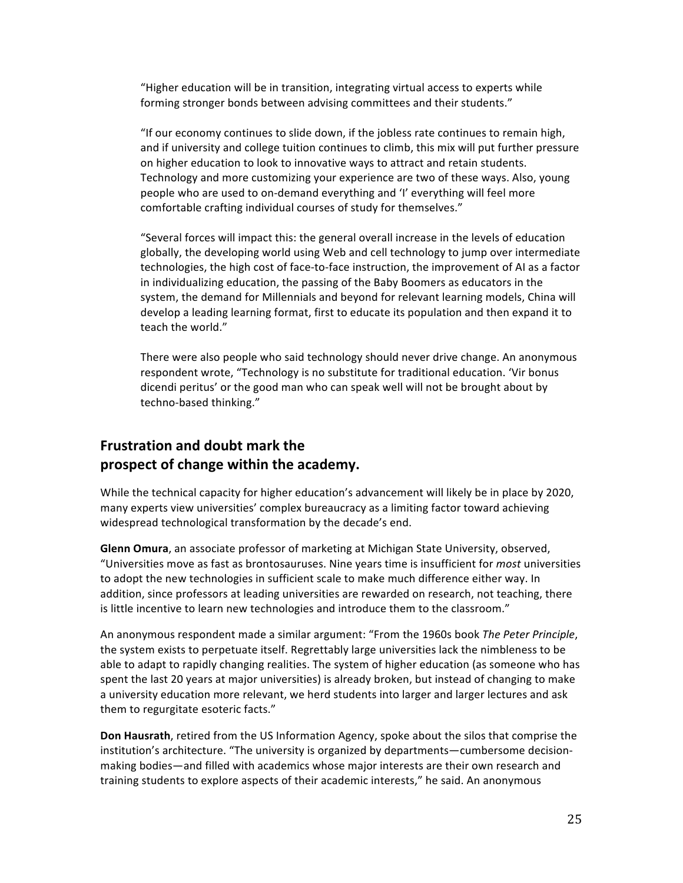"Higher education will be in transition, integrating virtual access to experts while forming stronger bonds between advising committees and their students."

"If our economy continues to slide down, if the jobless rate continues to remain high, and if university and college tuition continues to climb, this mix will put further pressure on higher education to look to innovative ways to attract and retain students. Technology and more customizing your experience are two of these ways. Also, young people who are used to on-demand everything and 'I' everything will feel more comfortable crafting individual courses of study for themselves."

"Several forces will impact this: the general overall increase in the levels of education globally, the developing world using Web and cell technology to jump over intermediate technologies, the high cost of face-to-face instruction, the improvement of AI as a factor in individualizing education, the passing of the Baby Boomers as educators in the system, the demand for Millennials and beyond for relevant learning models, China will develop a leading learning format, first to educate its population and then expand it to teach the world."

There were also people who said technology should never drive change. An anonymous respondent wrote, "Technology is no substitute for traditional education. 'Vir bonus dicendi peritus' or the good man who can speak well will not be brought about by techno-based thinking."

## **Frustration and doubt mark the** prospect of change within the academy.

While the technical capacity for higher education's advancement will likely be in place by 2020, many experts view universities' complex bureaucracy as a limiting factor toward achieving widespread technological transformation by the decade's end.

Glenn Omura, an associate professor of marketing at Michigan State University, observed, "Universities move as fast as brontosauruses. Nine years time is insufficient for *most* universities to adopt the new technologies in sufficient scale to make much difference either way. In addition, since professors at leading universities are rewarded on research, not teaching, there is little incentive to learn new technologies and introduce them to the classroom."

An anonymous respondent made a similar argument: "From the 1960s book *The Peter Principle*, the system exists to perpetuate itself. Regrettably large universities lack the nimbleness to be able to adapt to rapidly changing realities. The system of higher education (as someone who has spent the last 20 years at major universities) is already broken, but instead of changing to make a university education more relevant, we herd students into larger and larger lectures and ask them to regurgitate esoteric facts."

**Don Hausrath**, retired from the US Information Agency, spoke about the silos that comprise the institution's architecture. "The university is organized by departments—cumbersome decisionmaking bodies—and filled with academics whose major interests are their own research and training students to explore aspects of their academic interests," he said. An anonymous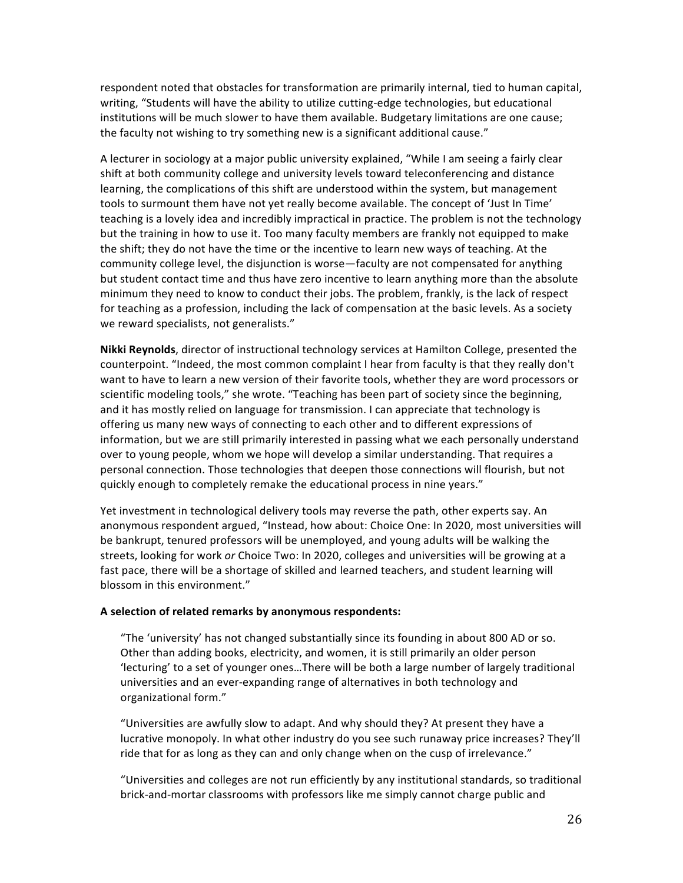respondent noted that obstacles for transformation are primarily internal, tied to human capital, writing, "Students will have the ability to utilize cutting-edge technologies, but educational institutions will be much slower to have them available. Budgetary limitations are one cause; the faculty not wishing to try something new is a significant additional cause."

A lecturer in sociology at a major public university explained, "While I am seeing a fairly clear shift at both community college and university levels toward teleconferencing and distance learning, the complications of this shift are understood within the system, but management tools to surmount them have not yet really become available. The concept of 'Just In Time' teaching is a lovely idea and incredibly impractical in practice. The problem is not the technology but the training in how to use it. Too many faculty members are frankly not equipped to make the shift; they do not have the time or the incentive to learn new ways of teaching. At the community college level, the disjunction is worse—faculty are not compensated for anything but student contact time and thus have zero incentive to learn anything more than the absolute minimum they need to know to conduct their jobs. The problem, frankly, is the lack of respect for teaching as a profession, including the lack of compensation at the basic levels. As a society we reward specialists, not generalists."

Nikki Reynolds, director of instructional technology services at Hamilton College, presented the counterpoint. "Indeed, the most common complaint I hear from faculty is that they really don't want to have to learn a new version of their favorite tools, whether they are word processors or scientific modeling tools," she wrote. "Teaching has been part of society since the beginning, and it has mostly relied on language for transmission. I can appreciate that technology is offering us many new ways of connecting to each other and to different expressions of information, but we are still primarily interested in passing what we each personally understand over to young people, whom we hope will develop a similar understanding. That requires a personal connection. Those technologies that deepen those connections will flourish, but not quickly enough to completely remake the educational process in nine years."

Yet investment in technological delivery tools may reverse the path, other experts say. An anonymous respondent argued, "Instead, how about: Choice One: In 2020, most universities will be bankrupt, tenured professors will be unemployed, and young adults will be walking the streets, looking for work *or* Choice Two: In 2020, colleges and universities will be growing at a fast pace, there will be a shortage of skilled and learned teachers, and student learning will blossom in this environment."

#### A selection of related remarks by anonymous respondents:

"The 'university' has not changed substantially since its founding in about 800 AD or so. Other than adding books, electricity, and women, it is still primarily an older person 'lecturing' to a set of younger ones...There will be both a large number of largely traditional universities and an ever-expanding range of alternatives in both technology and organizational form."

"Universities are awfully slow to adapt. And why should they? At present they have a lucrative monopoly. In what other industry do you see such runaway price increases? They'll ride that for as long as they can and only change when on the cusp of irrelevance."

"Universities and colleges are not run efficiently by any institutional standards, so traditional brick-and-mortar classrooms with professors like me simply cannot charge public and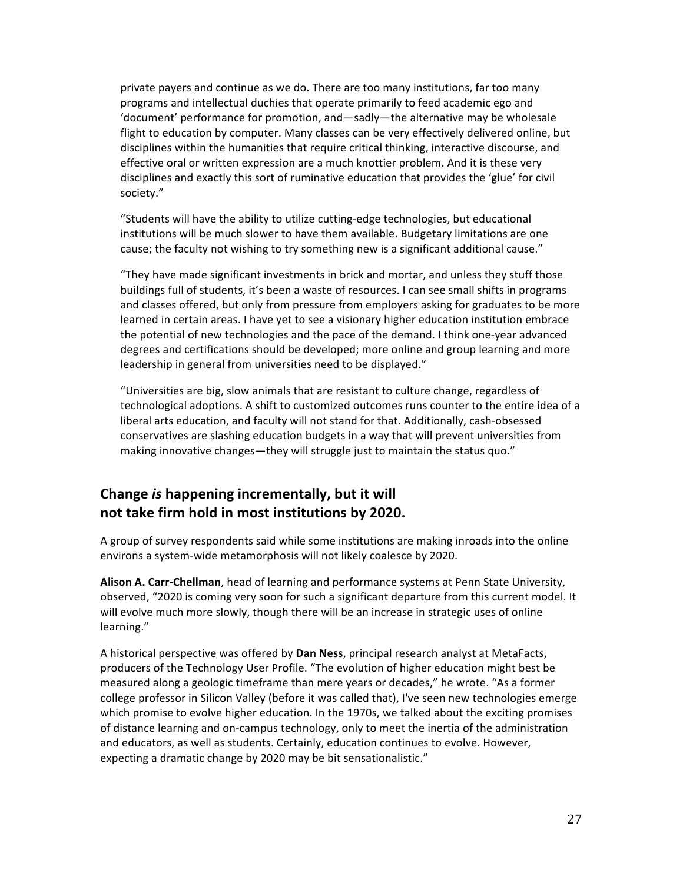private payers and continue as we do. There are too many institutions, far too many programs and intellectual duchies that operate primarily to feed academic ego and 'document' performance for promotion, and—sadly—the alternative may be wholesale flight to education by computer. Many classes can be very effectively delivered online, but disciplines within the humanities that require critical thinking, interactive discourse, and effective oral or written expression are a much knottier problem. And it is these very disciplines and exactly this sort of ruminative education that provides the 'glue' for civil society."

"Students will have the ability to utilize cutting-edge technologies, but educational institutions will be much slower to have them available. Budgetary limitations are one cause; the faculty not wishing to try something new is a significant additional cause."

"They have made significant investments in brick and mortar, and unless they stuff those buildings full of students, it's been a waste of resources. I can see small shifts in programs and classes offered, but only from pressure from employers asking for graduates to be more learned in certain areas. I have yet to see a visionary higher education institution embrace the potential of new technologies and the pace of the demand. I think one-year advanced degrees and certifications should be developed; more online and group learning and more leadership in general from universities need to be displayed."

"Universities are big, slow animals that are resistant to culture change, regardless of technological adoptions. A shift to customized outcomes runs counter to the entire idea of a liberal arts education, and faculty will not stand for that. Additionally, cash-obsessed conservatives are slashing education budgets in a way that will prevent universities from making innovative changes—they will struggle just to maintain the status quo."

## **Change is happening incrementally, but it will** not take firm hold in most institutions by 2020.

A group of survey respondents said while some institutions are making inroads into the online environs a system-wide metamorphosis will not likely coalesce by 2020.

Alison A. Carr-Chellman, head of learning and performance systems at Penn State University, observed, "2020 is coming very soon for such a significant departure from this current model. It will evolve much more slowly, though there will be an increase in strategic uses of online learning."

A historical perspective was offered by **Dan Ness**, principal research analyst at MetaFacts, producers of the Technology User Profile. "The evolution of higher education might best be measured along a geologic timeframe than mere years or decades," he wrote. "As a former college professor in Silicon Valley (before it was called that), I've seen new technologies emerge which promise to evolve higher education. In the 1970s, we talked about the exciting promises of distance learning and on-campus technology, only to meet the inertia of the administration and educators, as well as students. Certainly, education continues to evolve. However, expecting a dramatic change by 2020 may be bit sensationalistic."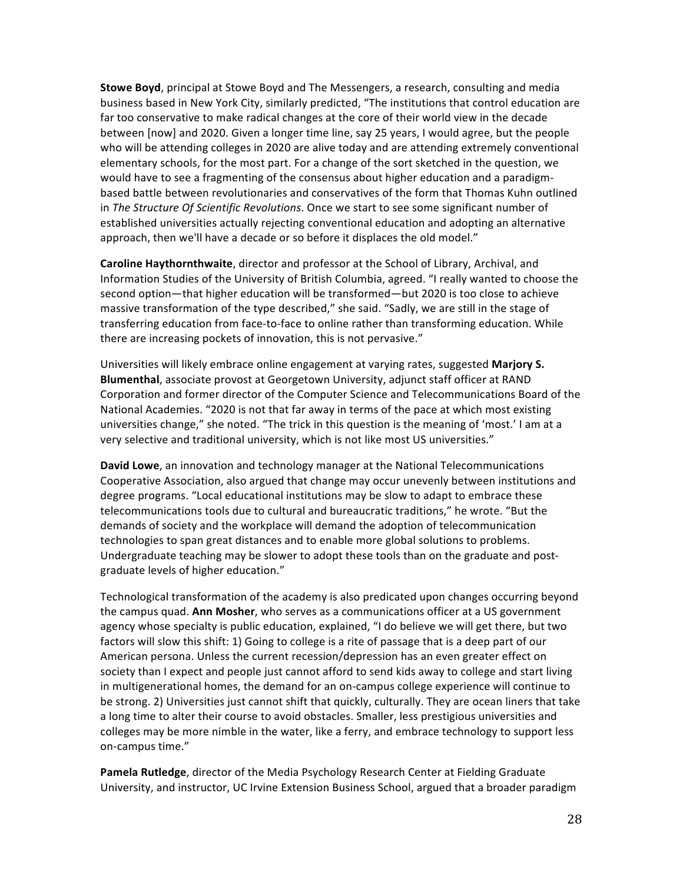**Stowe Boyd**, principal at Stowe Boyd and The Messengers, a research, consulting and media business based in New York City, similarly predicted, "The institutions that control education are far too conservative to make radical changes at the core of their world view in the decade between [now] and 2020. Given a longer time line, say 25 years, I would agree, but the people who will be attending colleges in 2020 are alive today and are attending extremely conventional elementary schools, for the most part. For a change of the sort sketched in the question, we would have to see a fragmenting of the consensus about higher education and a paradigmbased battle between revolutionaries and conservatives of the form that Thomas Kuhn outlined in The Structure Of Scientific Revolutions. Once we start to see some significant number of established universities actually rejecting conventional education and adopting an alternative approach, then we'll have a decade or so before it displaces the old model."

**Caroline Haythornthwaite**, director and professor at the School of Library, Archival, and Information Studies of the University of British Columbia, agreed. "I really wanted to choose the second option—that higher education will be transformed—but 2020 is too close to achieve massive transformation of the type described," she said. "Sadly, we are still in the stage of transferring education from face-to-face to online rather than transforming education. While there are increasing pockets of innovation, this is not pervasive."

Universities will likely embrace online engagement at varying rates, suggested **Marjory S. Blumenthal**, associate provost at Georgetown University, adjunct staff officer at RAND Corporation and former director of the Computer Science and Telecommunications Board of the National Academies. "2020 is not that far away in terms of the pace at which most existing universities change," she noted. "The trick in this question is the meaning of 'most.' I am at a very selective and traditional university, which is not like most US universities."

**David Lowe**, an innovation and technology manager at the National Telecommunications Cooperative Association, also argued that change may occur unevenly between institutions and degree programs. "Local educational institutions may be slow to adapt to embrace these telecommunications tools due to cultural and bureaucratic traditions," he wrote. "But the demands of society and the workplace will demand the adoption of telecommunication technologies to span great distances and to enable more global solutions to problems. Undergraduate teaching may be slower to adopt these tools than on the graduate and postgraduate levels of higher education."

Technological transformation of the academy is also predicated upon changes occurring beyond the campus quad. Ann Mosher, who serves as a communications officer at a US government agency whose specialty is public education, explained, "I do believe we will get there, but two factors will slow this shift: 1) Going to college is a rite of passage that is a deep part of our American persona. Unless the current recession/depression has an even greater effect on society than I expect and people just cannot afford to send kids away to college and start living in multigenerational homes, the demand for an on-campus college experience will continue to be strong. 2) Universities just cannot shift that quickly, culturally. They are ocean liners that take a long time to alter their course to avoid obstacles. Smaller, less prestigious universities and colleges may be more nimble in the water, like a ferry, and embrace technology to support less on-campus time."

Pamela Rutledge, director of the Media Psychology Research Center at Fielding Graduate University, and instructor, UC Irvine Extension Business School, argued that a broader paradigm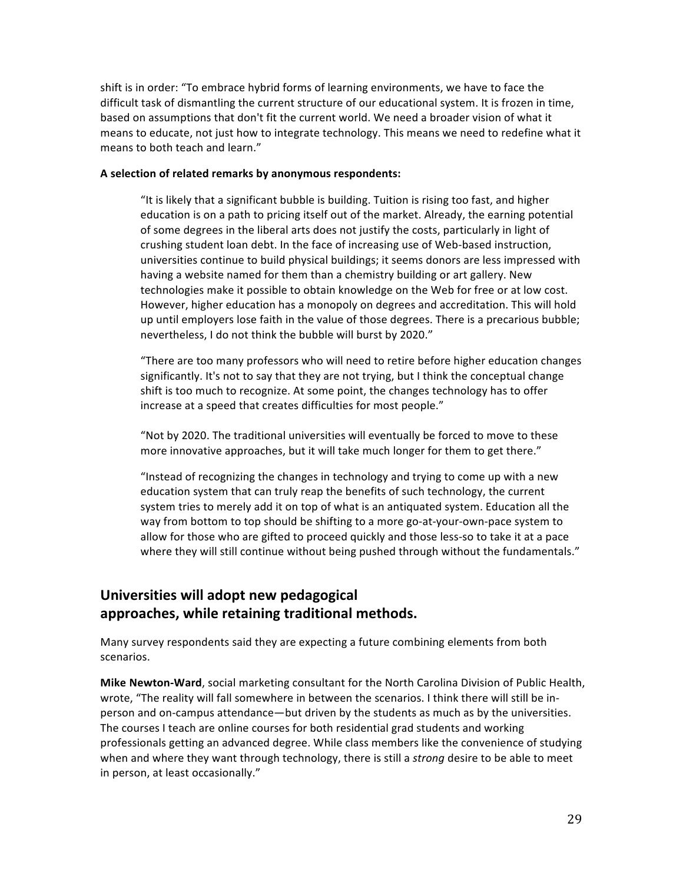shift is in order: "To embrace hybrid forms of learning environments, we have to face the difficult task of dismantling the current structure of our educational system. It is frozen in time, based on assumptions that don't fit the current world. We need a broader vision of what it means to educate, not just how to integrate technology. This means we need to redefine what it means to both teach and learn."

#### A selection of related remarks by anonymous respondents:

"It is likely that a significant bubble is building. Tuition is rising too fast, and higher education is on a path to pricing itself out of the market. Already, the earning potential of some degrees in the liberal arts does not justify the costs, particularly in light of crushing student loan debt. In the face of increasing use of Web-based instruction, universities continue to build physical buildings; it seems donors are less impressed with having a website named for them than a chemistry building or art gallery. New technologies make it possible to obtain knowledge on the Web for free or at low cost. However, higher education has a monopoly on degrees and accreditation. This will hold up until employers lose faith in the value of those degrees. There is a precarious bubble; nevertheless, I do not think the bubble will burst by 2020."

"There are too many professors who will need to retire before higher education changes significantly. It's not to say that they are not trying, but I think the conceptual change shift is too much to recognize. At some point, the changes technology has to offer increase at a speed that creates difficulties for most people."

"Not by 2020. The traditional universities will eventually be forced to move to these more innovative approaches, but it will take much longer for them to get there."

"Instead of recognizing the changes in technology and trying to come up with a new education system that can truly reap the benefits of such technology, the current system tries to merely add it on top of what is an antiquated system. Education all the way from bottom to top should be shifting to a more go-at-your-own-pace system to allow for those who are gifted to proceed quickly and those less-so to take it at a pace where they will still continue without being pushed through without the fundamentals."

## **Universities will adopt new pedagogical approaches, while\$retaining\$traditional\$methods.**

Many survey respondents said they are expecting a future combining elements from both scenarios.

**Mike Newton-Ward**, social marketing consultant for the North Carolina Division of Public Health, wrote, "The reality will fall somewhere in between the scenarios. I think there will still be inperson and on-campus attendance—but driven by the students as much as by the universities. The courses I teach are online courses for both residential grad students and working professionals getting an advanced degree. While class members like the convenience of studying when and where they want through technology, there is still a *strong* desire to be able to meet in person, at least occasionally."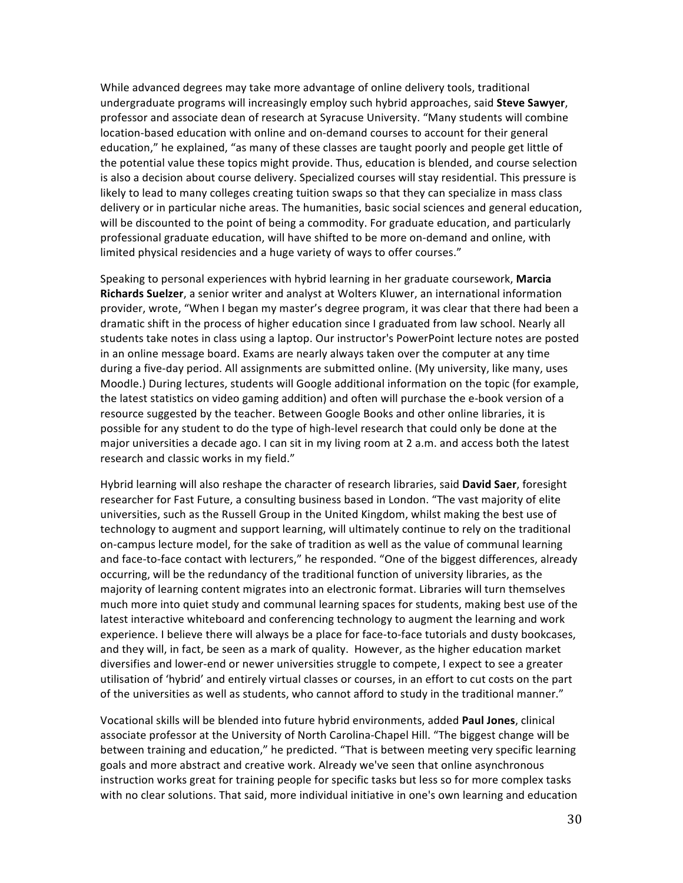While advanced degrees may take more advantage of online delivery tools, traditional undergraduate programs will increasingly employ such hybrid approaches, said Steve Sawyer, professor and associate dean of research at Syracuse University. "Many students will combine location-based education with online and on-demand courses to account for their general education," he explained, "as many of these classes are taught poorly and people get little of the potential value these topics might provide. Thus, education is blended, and course selection is also a decision about course delivery. Specialized courses will stay residential. This pressure is likely to lead to many colleges creating tuition swaps so that they can specialize in mass class delivery or in particular niche areas. The humanities, basic social sciences and general education, will be discounted to the point of being a commodity. For graduate education, and particularly professional graduate education, will have shifted to be more on-demand and online, with limited physical residencies and a huge variety of ways to offer courses."

Speaking to personal experiences with hybrid learning in her graduate coursework, **Marcia** Richards Suelzer, a senior writer and analyst at Wolters Kluwer, an international information provider, wrote, "When I began my master's degree program, it was clear that there had been a dramatic shift in the process of higher education since I graduated from law school. Nearly all students take notes in class using a laptop. Our instructor's PowerPoint lecture notes are posted in an online message board. Exams are nearly always taken over the computer at any time during a five-day period. All assignments are submitted online. (My university, like many, uses Moodle.) During lectures, students will Google additional information on the topic (for example, the latest statistics on video gaming addition) and often will purchase the e-book version of a resource suggested by the teacher. Between Google Books and other online libraries, it is possible for any student to do the type of high-level research that could only be done at the major universities a decade ago. I can sit in my living room at 2 a.m. and access both the latest research and classic works in my field."

Hybrid learning will also reshape the character of research libraries, said David Saer, foresight researcher for Fast Future, a consulting business based in London. "The vast majority of elite universities, such as the Russell Group in the United Kingdom, whilst making the best use of technology to augment and support learning, will ultimately continue to rely on the traditional on-campus lecture model, for the sake of tradition as well as the value of communal learning and face-to-face contact with lecturers," he responded. "One of the biggest differences, already occurring, will be the redundancy of the traditional function of university libraries, as the majority of learning content migrates into an electronic format. Libraries will turn themselves much more into quiet study and communal learning spaces for students, making best use of the latest interactive whiteboard and conferencing technology to augment the learning and work experience. I believe there will always be a place for face-to-face tutorials and dusty bookcases, and they will, in fact, be seen as a mark of quality. However, as the higher education market diversifies and lower-end or newer universities struggle to compete, I expect to see a greater utilisation of 'hybrid' and entirely virtual classes or courses, in an effort to cut costs on the part of the universities as well as students, who cannot afford to study in the traditional manner."

Vocational skills will be blended into future hybrid environments, added **Paul Jones**, clinical associate professor at the University of North Carolina-Chapel Hill. "The biggest change will be between training and education," he predicted. "That is between meeting very specific learning goals and more abstract and creative work. Already we've seen that online asynchronous instruction works great for training people for specific tasks but less so for more complex tasks with no clear solutions. That said, more individual initiative in one's own learning and education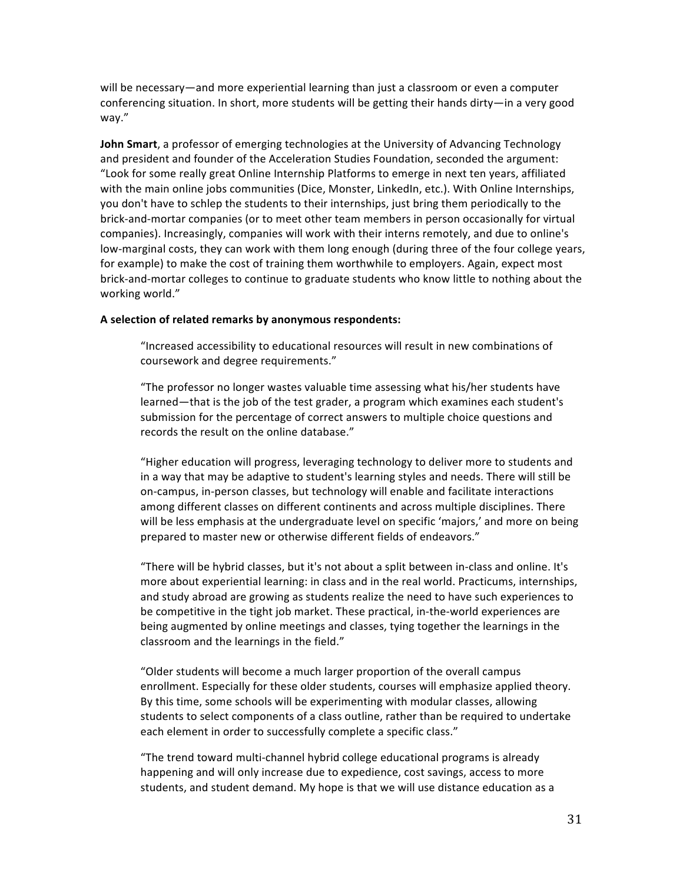will be necessary—and more experiential learning than just a classroom or even a computer conferencing situation. In short, more students will be getting their hands dirty—in a very good way."

**John Smart**, a professor of emerging technologies at the University of Advancing Technology and president and founder of the Acceleration Studies Foundation, seconded the argument: "Look for some really great Online Internship Platforms to emerge in next ten years, affiliated with the main online jobs communities (Dice, Monster, LinkedIn, etc.). With Online Internships, you don't have to schlep the students to their internships, just bring them periodically to the brick-and-mortar companies (or to meet other team members in person occasionally for virtual companies). Increasingly, companies will work with their interns remotely, and due to online's low-marginal costs, they can work with them long enough (during three of the four college years, for example) to make the cost of training them worthwhile to employers. Again, expect most brick-and-mortar colleges to continue to graduate students who know little to nothing about the working world."

#### A selection of related remarks by anonymous respondents:

"Increased accessibility to educational resources will result in new combinations of coursework and degree requirements."

"The professor no longer wastes valuable time assessing what his/her students have learned—that is the job of the test grader, a program which examines each student's submission for the percentage of correct answers to multiple choice questions and records the result on the online database."

"Higher education will progress, leveraging technology to deliver more to students and in a way that may be adaptive to student's learning styles and needs. There will still be on-campus, in-person classes, but technology will enable and facilitate interactions among different classes on different continents and across multiple disciplines. There will be less emphasis at the undergraduate level on specific 'majors,' and more on being prepared to master new or otherwise different fields of endeavors."

"There will be hybrid classes, but it's not about a split between in-class and online. It's more about experiential learning: in class and in the real world. Practicums, internships, and study abroad are growing as students realize the need to have such experiences to be competitive in the tight job market. These practical, in-the-world experiences are being augmented by online meetings and classes, tying together the learnings in the classroom and the learnings in the field."

"Older students will become a much larger proportion of the overall campus enrollment. Especially for these older students, courses will emphasize applied theory. By this time, some schools will be experimenting with modular classes, allowing students to select components of a class outline, rather than be required to undertake each element in order to successfully complete a specific class."

"The trend toward multi-channel hybrid college educational programs is already happening and will only increase due to expedience, cost savings, access to more students, and student demand. My hope is that we will use distance education as a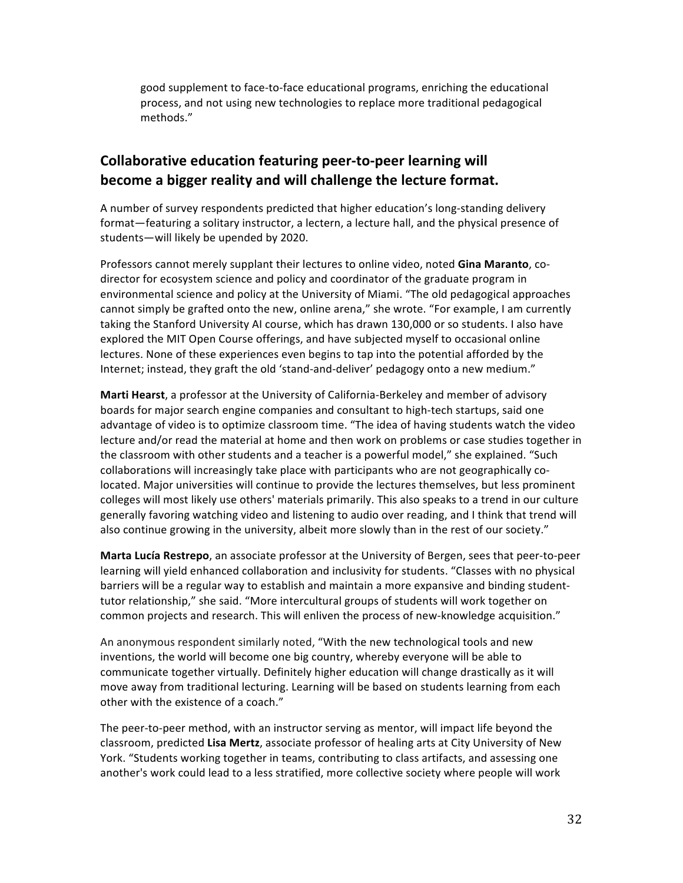good supplement to face-to-face educational programs, enriching the educational process, and not using new technologies to replace more traditional pedagogical methods."

## **Collaborative education featuring peer-to-peer learning will** become a bigger reality and will challenge the lecture format.

A number of survey respondents predicted that higher education's long-standing delivery format—featuring a solitary instructor, a lectern, a lecture hall, and the physical presence of students—will likely be upended by 2020.

Professors cannot merely supplant their lectures to online video, noted **Gina Maranto**, codirector for ecosystem science and policy and coordinator of the graduate program in environmental science and policy at the University of Miami. "The old pedagogical approaches cannot simply be grafted onto the new, online arena," she wrote. "For example, I am currently taking the Stanford University AI course, which has drawn 130,000 or so students. I also have explored the MIT Open Course offerings, and have subjected myself to occasional online lectures. None of these experiences even begins to tap into the potential afforded by the Internet; instead, they graft the old 'stand-and-deliver' pedagogy onto a new medium."

**Marti Hearst**, a professor at the University of California-Berkeley and member of advisory boards for major search engine companies and consultant to high-tech startups, said one advantage of video is to optimize classroom time. "The idea of having students watch the video lecture and/or read the material at home and then work on problems or case studies together in the classroom with other students and a teacher is a powerful model," she explained. "Such collaborations will increasingly take place with participants who are not geographically colocated. Major universities will continue to provide the lectures themselves, but less prominent colleges will most likely use others' materials primarily. This also speaks to a trend in our culture generally favoring watching video and listening to audio over reading, and I think that trend will also continue growing in the university, albeit more slowly than in the rest of our society."

**Marta Lucía Restrepo**, an associate professor at the University of Bergen, sees that peer-to-peer learning will yield enhanced collaboration and inclusivity for students. "Classes with no physical barriers will be a regular way to establish and maintain a more expansive and binding studenttutor relationship," she said. "More intercultural groups of students will work together on common projects and research. This will enliven the process of new-knowledge acquisition."

An anonymous respondent similarly noted, "With the new technological tools and new inventions, the world will become one big country, whereby everyone will be able to communicate together virtually. Definitely higher education will change drastically as it will move away from traditional lecturing. Learning will be based on students learning from each other with the existence of a coach."

The peer-to-peer method, with an instructor serving as mentor, will impact life beyond the classroom, predicted Lisa Mertz, associate professor of healing arts at City University of New York. "Students working together in teams, contributing to class artifacts, and assessing one another's work could lead to a less stratified, more collective society where people will work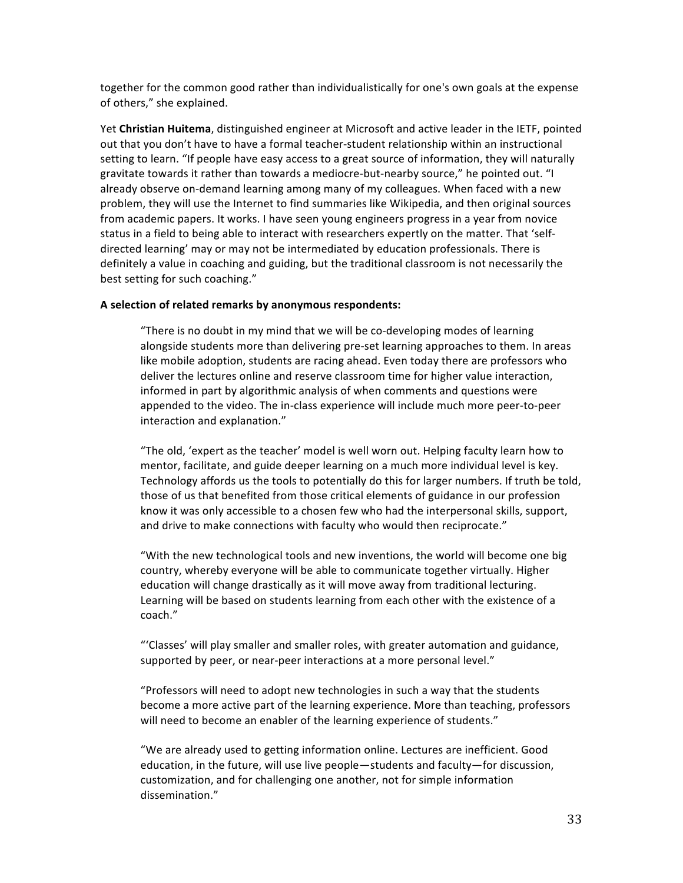together for the common good rather than individualistically for one's own goals at the expense of others," she explained.

Yet Christian Huitema, distinguished engineer at Microsoft and active leader in the IETF, pointed out that you don't have to have a formal teacher-student relationship within an instructional setting to learn. "If people have easy access to a great source of information, they will naturally gravitate towards it rather than towards a mediocre-but-nearby source," he pointed out. "I already observe on-demand learning among many of my colleagues. When faced with a new problem, they will use the Internet to find summaries like Wikipedia, and then original sources from academic papers. It works. I have seen young engineers progress in a year from novice status in a field to being able to interact with researchers expertly on the matter. That 'selfdirected learning' may or may not be intermediated by education professionals. There is definitely a value in coaching and guiding, but the traditional classroom is not necessarily the best setting for such coaching."

#### A selection of related remarks by anonymous respondents:

"There is no doubt in my mind that we will be co-developing modes of learning alongside students more than delivering pre-set learning approaches to them. In areas like mobile adoption, students are racing ahead. Even today there are professors who deliver the lectures online and reserve classroom time for higher value interaction, informed in part by algorithmic analysis of when comments and questions were appended to the video. The in-class experience will include much more peer-to-peer interaction and explanation."

"The old, 'expert as the teacher' model is well worn out. Helping faculty learn how to mentor, facilitate, and guide deeper learning on a much more individual level is key. Technology affords us the tools to potentially do this for larger numbers. If truth be told, those of us that benefited from those critical elements of guidance in our profession know it was only accessible to a chosen few who had the interpersonal skills, support, and drive to make connections with faculty who would then reciprocate."

"With the new technological tools and new inventions, the world will become one big country, whereby everyone will be able to communicate together virtually. Higher education will change drastically as it will move away from traditional lecturing. Learning will be based on students learning from each other with the existence of a coach."

"'Classes' will play smaller and smaller roles, with greater automation and guidance, supported by peer, or near-peer interactions at a more personal level."

"Professors will need to adopt new technologies in such a way that the students become a more active part of the learning experience. More than teaching, professors will need to become an enabler of the learning experience of students."

"We are already used to getting information online. Lectures are inefficient. Good education, in the future, will use live people—students and faculty—for discussion, customization, and for challenging one another, not for simple information dissemination."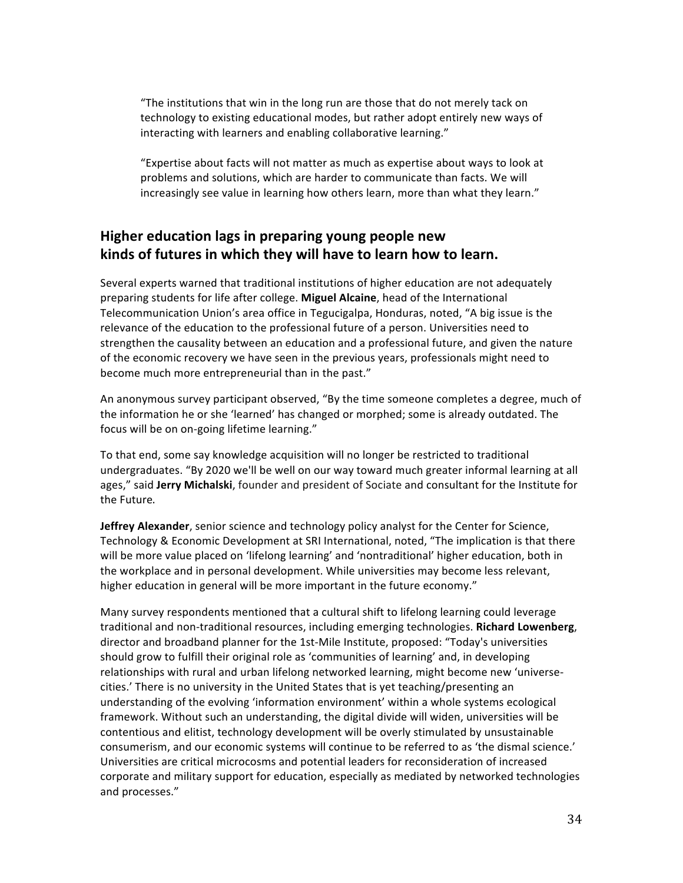"The institutions that win in the long run are those that do not merely tack on technology to existing educational modes, but rather adopt entirely new ways of interacting with learners and enabling collaborative learning."

"Expertise about facts will not matter as much as expertise about ways to look at problems and solutions, which are harder to communicate than facts. We will increasingly see value in learning how others learn, more than what they learn."

## **Higher education lags in preparing young people new** kinds of futures in which they will have to learn how to learn.

Several experts warned that traditional institutions of higher education are not adequately preparing students for life after college. Miguel Alcaine, head of the International Telecommunication Union's area office in Tegucigalpa, Honduras, noted, "A big issue is the relevance of the education to the professional future of a person. Universities need to strengthen the causality between an education and a professional future, and given the nature of the economic recovery we have seen in the previous years, professionals might need to become much more entrepreneurial than in the past."

An anonymous survey participant observed, "By the time someone completes a degree, much of the information he or she 'learned' has changed or morphed; some is already outdated. The focus will be on on-going lifetime learning."

To that end, some say knowledge acquisition will no longer be restricted to traditional undergraduates. "By 2020 we'll be well on our way toward much greater informal learning at all ages," said Jerry Michalski, founder and president of Sociate and consultant for the Institute for the Future.

**Jeffrey Alexander**, senior science and technology policy analyst for the Center for Science, Technology & Economic Development at SRI International, noted, "The implication is that there will be more value placed on 'lifelong learning' and 'nontraditional' higher education, both in the workplace and in personal development. While universities may become less relevant, higher education in general will be more important in the future economy."

Many survey respondents mentioned that a cultural shift to lifelong learning could leverage traditional and non-traditional resources, including emerging technologies. Richard Lowenberg, director and broadband planner for the 1st-Mile Institute, proposed: "Today's universities should grow to fulfill their original role as 'communities of learning' and, in developing relationships with rural and urban lifelong networked learning, might become new 'universecities.' There is no university in the United States that is yet teaching/presenting an understanding of the evolving 'information environment' within a whole systems ecological framework. Without such an understanding, the digital divide will widen, universities will be contentious and elitist, technology development will be overly stimulated by unsustainable consumerism, and our economic systems will continue to be referred to as 'the dismal science.' Universities are critical microcosms and potential leaders for reconsideration of increased corporate and military support for education, especially as mediated by networked technologies and processes."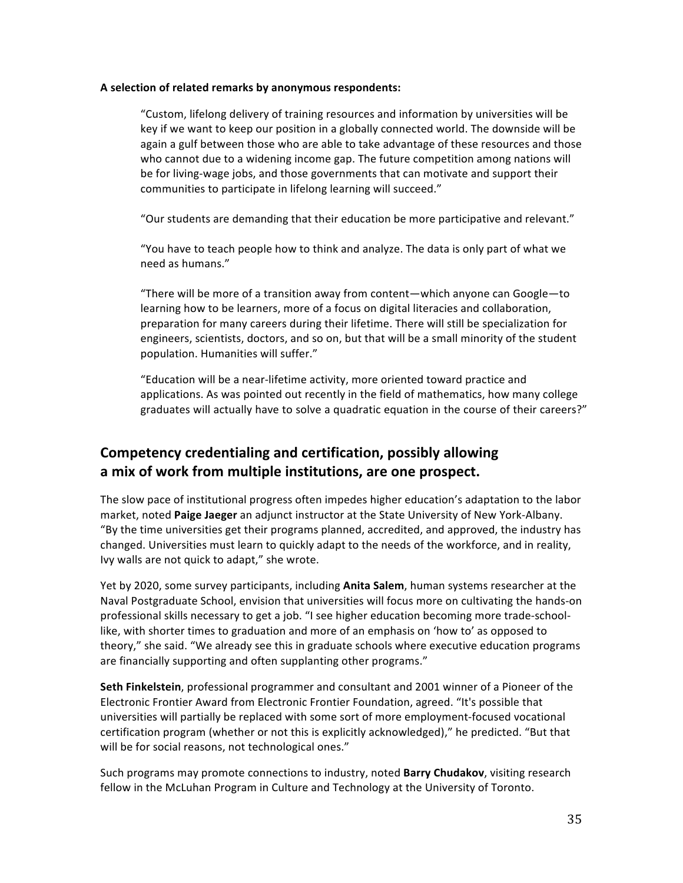#### A selection of related remarks by anonymous respondents:

"Custom, lifelong delivery of training resources and information by universities will be key if we want to keep our position in a globally connected world. The downside will be again a gulf between those who are able to take advantage of these resources and those who cannot due to a widening income gap. The future competition among nations will be for living-wage jobs, and those governments that can motivate and support their communities to participate in lifelong learning will succeed."

"Our students are demanding that their education be more participative and relevant."

"You have to teach people how to think and analyze. The data is only part of what we need as humans."

"There will be more of a transition away from content—which anyone can Google—to learning how to be learners, more of a focus on digital literacies and collaboration, preparation for many careers during their lifetime. There will still be specialization for engineers, scientists, doctors, and so on, but that will be a small minority of the student population. Humanities will suffer."

"Education will be a near-lifetime activity, more oriented toward practice and applications. As was pointed out recently in the field of mathematics, how many college graduates will actually have to solve a quadratic equation in the course of their careers?"

## **Competency credentialing and certification, possibly allowing** a mix of work from multiple institutions, are one prospect.

The slow pace of institutional progress often impedes higher education's adaptation to the labor market, noted **Paige Jaeger** an adjunct instructor at the State University of New York-Albany. "By the time universities get their programs planned, accredited, and approved, the industry has changed. Universities must learn to quickly adapt to the needs of the workforce, and in reality, Ivy walls are not quick to adapt," she wrote.

Yet by 2020, some survey participants, including Anita Salem, human systems researcher at the Naval Postgraduate School, envision that universities will focus more on cultivating the hands-on professional skills necessary to get a job. "I see higher education becoming more trade-schoollike, with shorter times to graduation and more of an emphasis on 'how to' as opposed to theory," she said. "We already see this in graduate schools where executive education programs are financially supporting and often supplanting other programs."

Seth Finkelstein, professional programmer and consultant and 2001 winner of a Pioneer of the Electronic Frontier Award from Electronic Frontier Foundation, agreed. "It's possible that universities will partially be replaced with some sort of more employment-focused vocational certification program (whether or not this is explicitly acknowledged)," he predicted. "But that will be for social reasons, not technological ones."

Such programs may promote connections to industry, noted **Barry Chudakov**, visiting research fellow in the McLuhan Program in Culture and Technology at the University of Toronto.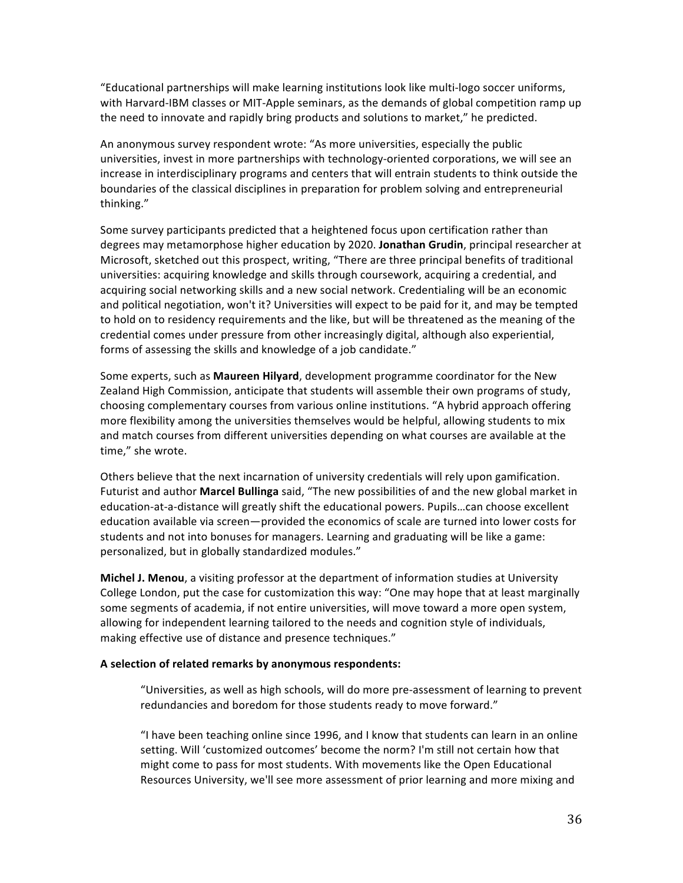"Educational partnerships will make learning institutions look like multi-logo soccer uniforms, with Harvard-IBM classes or MIT-Apple seminars, as the demands of global competition ramp up the need to innovate and rapidly bring products and solutions to market," he predicted.

An anonymous survey respondent wrote: "As more universities, especially the public universities, invest in more partnerships with technology-oriented corporations, we will see an increase in interdisciplinary programs and centers that will entrain students to think outside the boundaries of the classical disciplines in preparation for problem solving and entrepreneurial thinking."

Some survey participants predicted that a heightened focus upon certification rather than degrees may metamorphose higher education by 2020. Jonathan Grudin, principal researcher at Microsoft, sketched out this prospect, writing, "There are three principal benefits of traditional universities: acquiring knowledge and skills through coursework, acquiring a credential, and acquiring social networking skills and a new social network. Credentialing will be an economic and political negotiation, won't it? Universities will expect to be paid for it, and may be tempted to hold on to residency requirements and the like, but will be threatened as the meaning of the credential comes under pressure from other increasingly digital, although also experiential, forms of assessing the skills and knowledge of a job candidate."

Some experts, such as **Maureen Hilyard**, development programme coordinator for the New Zealand High Commission, anticipate that students will assemble their own programs of study, choosing complementary courses from various online institutions. "A hybrid approach offering more flexibility among the universities themselves would be helpful, allowing students to mix and match courses from different universities depending on what courses are available at the time," she wrote.

Others believe that the next incarnation of university credentials will rely upon gamification. Futurist and author Marcel Bullinga said, "The new possibilities of and the new global market in education-at-a-distance will greatly shift the educational powers. Pupils…can choose excellent education available via screen—provided the economics of scale are turned into lower costs for students and not into bonuses for managers. Learning and graduating will be like a game: personalized, but in globally standardized modules."

**Michel J. Menou**, a visiting professor at the department of information studies at University College London, put the case for customization this way: "One may hope that at least marginally some segments of academia, if not entire universities, will move toward a more open system, allowing for independent learning tailored to the needs and cognition style of individuals, making effective use of distance and presence techniques."

#### A selection of related remarks by anonymous respondents:

"Universities, as well as high schools, will do more pre-assessment of learning to prevent redundancies and boredom for those students ready to move forward."

"I have been teaching online since 1996, and I know that students can learn in an online setting. Will 'customized outcomes' become the norm? I'm still not certain how that might come to pass for most students. With movements like the Open Educational Resources University, we'll see more assessment of prior learning and more mixing and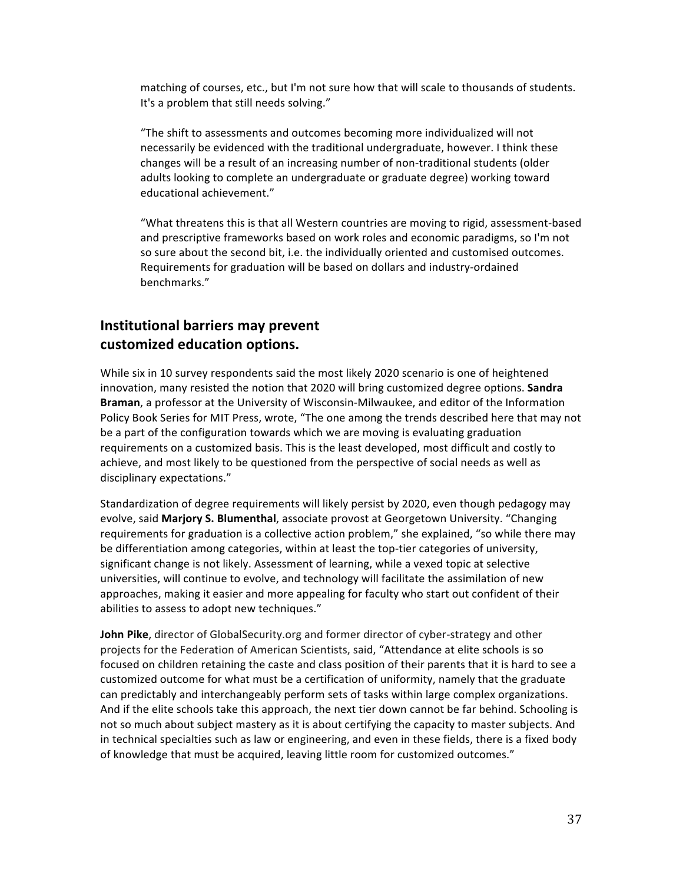matching of courses, etc., but I'm not sure how that will scale to thousands of students. It's a problem that still needs solving."

"The shift to assessments and outcomes becoming more individualized will not necessarily be evidenced with the traditional undergraduate, however. I think these changes will be a result of an increasing number of non-traditional students (older adults looking to complete an undergraduate or graduate degree) working toward educational achievement."

"What threatens this is that all Western countries are moving to rigid, assessment-based and prescriptive frameworks based on work roles and economic paradigms, so I'm not so sure about the second bit, i.e. the individually oriented and customised outcomes. Requirements for graduation will be based on dollars and industry-ordained benchmarks."

## **Institutional barriers may prevent** customized education options.

While six in 10 survey respondents said the most likely 2020 scenario is one of heightened innovation, many resisted the notion that 2020 will bring customized degree options. **Sandra** Braman, a professor at the University of Wisconsin-Milwaukee, and editor of the Information Policy Book Series for MIT Press, wrote, "The one among the trends described here that may not be a part of the configuration towards which we are moving is evaluating graduation requirements on a customized basis. This is the least developed, most difficult and costly to achieve, and most likely to be questioned from the perspective of social needs as well as disciplinary expectations."

Standardization of degree requirements will likely persist by 2020, even though pedagogy may evolve, said Marjory S. Blumenthal, associate provost at Georgetown University. "Changing requirements for graduation is a collective action problem," she explained, "so while there may be differentiation among categories, within at least the top-tier categories of university, significant change is not likely. Assessment of learning, while a vexed topic at selective universities, will continue to evolve, and technology will facilitate the assimilation of new approaches, making it easier and more appealing for faculty who start out confident of their abilities to assess to adopt new techniques."

**John Pike**, director of GlobalSecurity.org and former director of cyber-strategy and other projects for the Federation of American Scientists, said, "Attendance at elite schools is so focused on children retaining the caste and class position of their parents that it is hard to see a customized outcome for what must be a certification of uniformity, namely that the graduate can predictably and interchangeably perform sets of tasks within large complex organizations. And if the elite schools take this approach, the next tier down cannot be far behind. Schooling is not so much about subject mastery as it is about certifying the capacity to master subjects. And in technical specialties such as law or engineering, and even in these fields, there is a fixed body of knowledge that must be acquired, leaving little room for customized outcomes."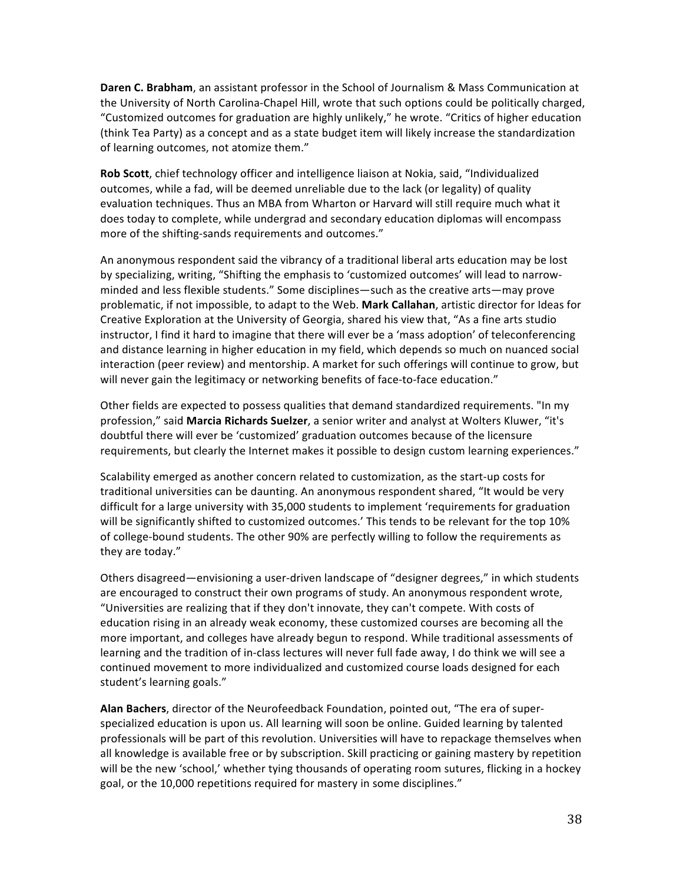**Daren C. Brabham**, an assistant professor in the School of Journalism & Mass Communication at the University of North Carolina-Chapel Hill, wrote that such options could be politically charged, "Customized outcomes for graduation are highly unlikely," he wrote. "Critics of higher education (think Tea Party) as a concept and as a state budget item will likely increase the standardization of learning outcomes, not atomize them."

**Rob Scott**, chief technology officer and intelligence liaison at Nokia, said, "Individualized outcomes, while a fad, will be deemed unreliable due to the lack (or legality) of quality evaluation techniques. Thus an MBA from Wharton or Harvard will still require much what it does today to complete, while undergrad and secondary education diplomas will encompass more of the shifting-sands requirements and outcomes."

An anonymous respondent said the vibrancy of a traditional liberal arts education may be lost by specializing, writing, "Shifting the emphasis to 'customized outcomes' will lead to narrowminded and less flexible students." Some disciplines—such as the creative arts—may prove problematic, if not impossible, to adapt to the Web. Mark Callahan, artistic director for Ideas for Creative Exploration at the University of Georgia, shared his view that, "As a fine arts studio instructor, I find it hard to imagine that there will ever be a 'mass adoption' of teleconferencing and distance learning in higher education in my field, which depends so much on nuanced social interaction (peer review) and mentorship. A market for such offerings will continue to grow, but will never gain the legitimacy or networking benefits of face-to-face education."

Other fields are expected to possess qualities that demand standardized requirements. "In my profession," said Marcia Richards Suelzer, a senior writer and analyst at Wolters Kluwer, "it's doubtful there will ever be 'customized' graduation outcomes because of the licensure requirements, but clearly the Internet makes it possible to design custom learning experiences."

Scalability emerged as another concern related to customization, as the start-up costs for traditional universities can be daunting. An anonymous respondent shared, "It would be very difficult for a large university with 35,000 students to implement 'requirements for graduation will be significantly shifted to customized outcomes.' This tends to be relevant for the top 10% of college-bound students. The other 90% are perfectly willing to follow the requirements as they are today."

Others disagreed—envisioning a user-driven landscape of "designer degrees," in which students are encouraged to construct their own programs of study. An anonymous respondent wrote, "Universities are realizing that if they don't innovate, they can't compete. With costs of education rising in an already weak economy, these customized courses are becoming all the more important, and colleges have already begun to respond. While traditional assessments of learning and the tradition of in-class lectures will never full fade away, I do think we will see a continued movement to more individualized and customized course loads designed for each student's learning goals."

Alan Bachers, director of the Neurofeedback Foundation, pointed out, "The era of superspecialized education is upon us. All learning will soon be online. Guided learning by talented professionals will be part of this revolution. Universities will have to repackage themselves when all knowledge is available free or by subscription. Skill practicing or gaining mastery by repetition will be the new 'school,' whether tying thousands of operating room sutures, flicking in a hockey goal, or the 10,000 repetitions required for mastery in some disciplines."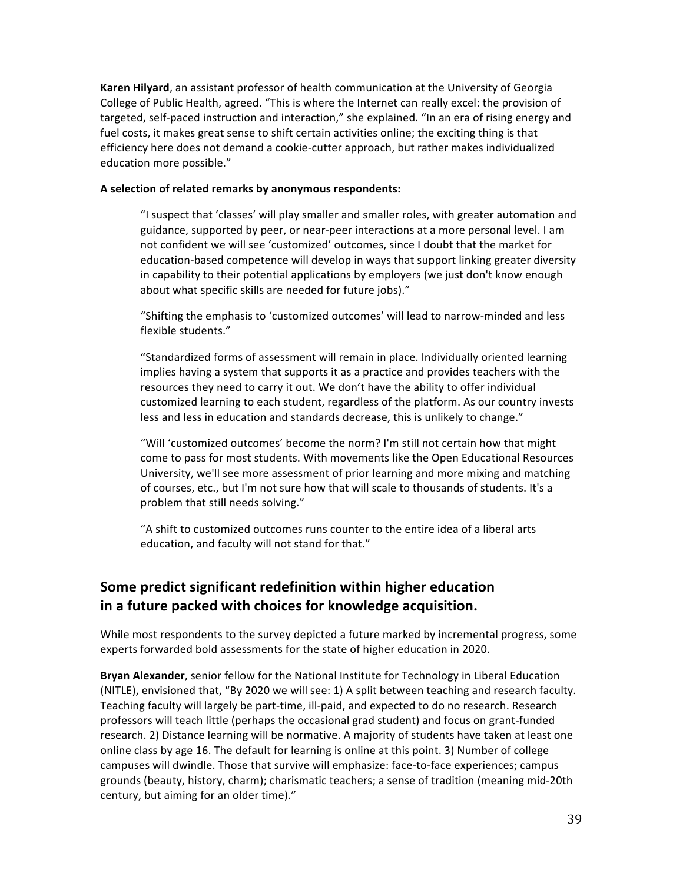**Karen Hilyard**, an assistant professor of health communication at the University of Georgia College of Public Health, agreed. "This is where the Internet can really excel: the provision of targeted, self-paced instruction and interaction," she explained. "In an era of rising energy and fuel costs, it makes great sense to shift certain activities online; the exciting thing is that efficiency here does not demand a cookie-cutter approach, but rather makes individualized education more possible."

#### A selection of related remarks by anonymous respondents:

"I suspect that 'classes' will play smaller and smaller roles, with greater automation and guidance, supported by peer, or near-peer interactions at a more personal level. I am not confident we will see 'customized' outcomes, since I doubt that the market for education-based competence will develop in ways that support linking greater diversity in capability to their potential applications by employers (we just don't know enough about what specific skills are needed for future jobs)."

"Shifting the emphasis to 'customized outcomes' will lead to narrow-minded and less flexible students."

"Standardized forms of assessment will remain in place. Individually oriented learning implies having a system that supports it as a practice and provides teachers with the resources they need to carry it out. We don't have the ability to offer individual customized learning to each student, regardless of the platform. As our country invests less and less in education and standards decrease, this is unlikely to change."

"Will 'customized outcomes' become the norm? I'm still not certain how that might come to pass for most students. With movements like the Open Educational Resources University, we'll see more assessment of prior learning and more mixing and matching of courses, etc., but I'm not sure how that will scale to thousands of students. It's a problem that still needs solving."

"A shift to customized outcomes runs counter to the entire idea of a liberal arts education, and faculty will not stand for that."

## **Some predict significant redefinition within higher education in\$a\$future\$packed\$with choices\$for\$knowledge\$acquisition.**

While most respondents to the survey depicted a future marked by incremental progress, some experts forwarded bold assessments for the state of higher education in 2020.

Bryan Alexander, senior fellow for the National Institute for Technology in Liberal Education (NITLE), envisioned that, "By 2020 we will see: 1) A split between teaching and research faculty. Teaching faculty will largely be part-time, ill-paid, and expected to do no research. Research professors will teach little (perhaps the occasional grad student) and focus on grant-funded research. 2) Distance learning will be normative. A majority of students have taken at least one online class by age 16. The default for learning is online at this point. 3) Number of college campuses will dwindle. Those that survive will emphasize: face-to-face experiences; campus grounds (beauty, history, charm); charismatic teachers; a sense of tradition (meaning mid-20th century, but aiming for an older time)."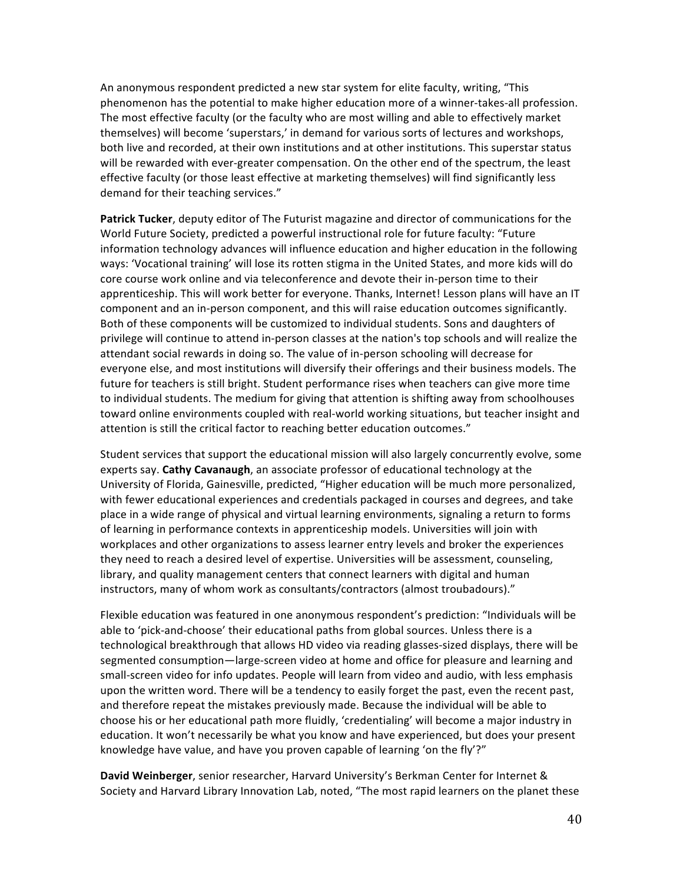An anonymous respondent predicted a new star system for elite faculty, writing, "This phenomenon has the potential to make higher education more of a winner-takes-all profession. The most effective faculty (or the faculty who are most willing and able to effectively market themselves) will become 'superstars,' in demand for various sorts of lectures and workshops, both live and recorded, at their own institutions and at other institutions. This superstar status will be rewarded with ever-greater compensation. On the other end of the spectrum, the least effective faculty (or those least effective at marketing themselves) will find significantly less demand for their teaching services."

**Patrick Tucker**, deputy editor of The Futurist magazine and director of communications for the World Future Society, predicted a powerful instructional role for future faculty: "Future information technology advances will influence education and higher education in the following ways: 'Vocational training' will lose its rotten stigma in the United States, and more kids will do core course work online and via teleconference and devote their in-person time to their apprenticeship. This will work better for everyone. Thanks, Internet! Lesson plans will have an IT component and an in-person component, and this will raise education outcomes significantly. Both of these components will be customized to individual students. Sons and daughters of privilege will continue to attend in-person classes at the nation's top schools and will realize the attendant social rewards in doing so. The value of in-person schooling will decrease for everyone else, and most institutions will diversify their offerings and their business models. The future for teachers is still bright. Student performance rises when teachers can give more time to individual students. The medium for giving that attention is shifting away from schoolhouses toward online environments coupled with real-world working situations, but teacher insight and attention is still the critical factor to reaching better education outcomes."

Student services that support the educational mission will also largely concurrently evolve, some experts say. **Cathy Cavanaugh**, an associate professor of educational technology at the University of Florida, Gainesville, predicted, "Higher education will be much more personalized, with fewer educational experiences and credentials packaged in courses and degrees, and take place in a wide range of physical and virtual learning environments, signaling a return to forms of learning in performance contexts in apprenticeship models. Universities will join with workplaces and other organizations to assess learner entry levels and broker the experiences they need to reach a desired level of expertise. Universities will be assessment, counseling, library, and quality management centers that connect learners with digital and human instructors, many of whom work as consultants/contractors (almost troubadours)."

Flexible education was featured in one anonymous respondent's prediction: "Individuals will be able to 'pick-and-choose' their educational paths from global sources. Unless there is a technological breakthrough that allows HD video via reading glasses-sized displays, there will be segmented consumption—large-screen video at home and office for pleasure and learning and small-screen video for info updates. People will learn from video and audio, with less emphasis upon the written word. There will be a tendency to easily forget the past, even the recent past, and therefore repeat the mistakes previously made. Because the individual will be able to choose his or her educational path more fluidly, 'credentialing' will become a major industry in education. It won't necessarily be what you know and have experienced, but does your present knowledge have value, and have you proven capable of learning 'on the fly'?"

**David Weinberger**, senior researcher, Harvard University's Berkman Center for Internet & Society and Harvard Library Innovation Lab, noted, "The most rapid learners on the planet these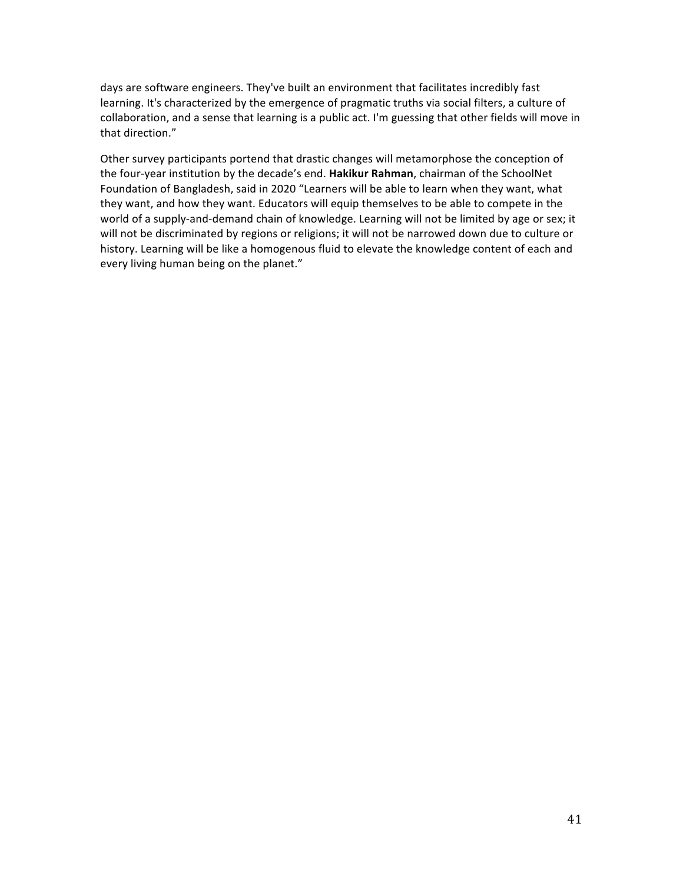days are software engineers. They've built an environment that facilitates incredibly fast learning. It's characterized by the emergence of pragmatic truths via social filters, a culture of collaboration, and a sense that learning is a public act. I'm guessing that other fields will move in that direction."

Other survey participants portend that drastic changes will metamorphose the conception of the four-year institution by the decade's end. Hakikur Rahman, chairman of the SchoolNet Foundation of Bangladesh, said in 2020 "Learners will be able to learn when they want, what they want, and how they want. Educators will equip themselves to be able to compete in the world of a supply-and-demand chain of knowledge. Learning will not be limited by age or sex; it will not be discriminated by regions or religions; it will not be narrowed down due to culture or history. Learning will be like a homogenous fluid to elevate the knowledge content of each and every living human being on the planet."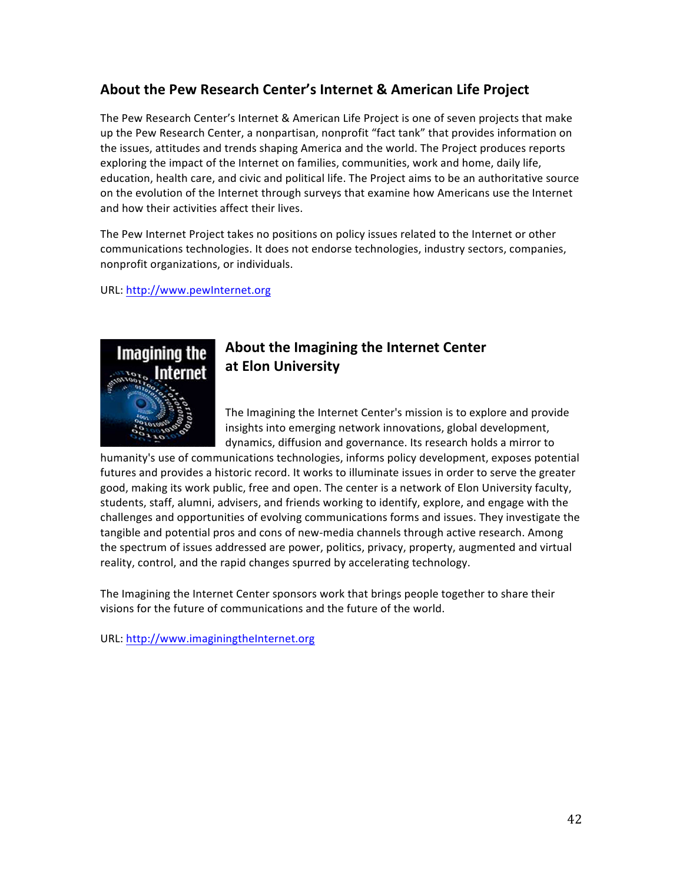## **About the Pew Research Center's Internet & American Life Project**

The Pew Research Center's Internet & American Life Project is one of seven projects that make up the Pew Research Center, a nonpartisan, nonprofit "fact tank" that provides information on the issues, attitudes and trends shaping America and the world. The Project produces reports exploring the impact of the Internet on families, communities, work and home, daily life, education, health care, and civic and political life. The Project aims to be an authoritative source on the evolution of the Internet through surveys that examine how Americans use the Internet and how their activities affect their lives.

The Pew Internet Project takes no positions on policy issues related to the Internet or other communications technologies. It does not endorse technologies, industry sectors, companies, nonprofit organizations, or individuals.

URL:%http://www.pewInternet.org



## **About the Imagining the Internet Center at\$Elon\$University**

The Imagining the Internet Center's mission is to explore and provide insights into emerging network innovations, global development, dynamics, diffusion and governance. Its research holds a mirror to

humanity's use of communications technologies, informs policy development, exposes potential futures and provides a historic record. It works to illuminate issues in order to serve the greater good, making its work public, free and open. The center is a network of Elon University faculty, students, staff, alumni, advisers, and friends working to identify, explore, and engage with the challenges and opportunities of evolving communications forms and issues. They investigate the tangible and potential pros and cons of new-media channels through active research. Among the spectrum of issues addressed are power, politics, privacy, property, augmented and virtual reality, control, and the rapid changes spurred by accelerating technology.

The Imagining the Internet Center sponsors work that brings people together to share their visions for the future of communications and the future of the world.

URL: http://www.imaginingtheInternet.org